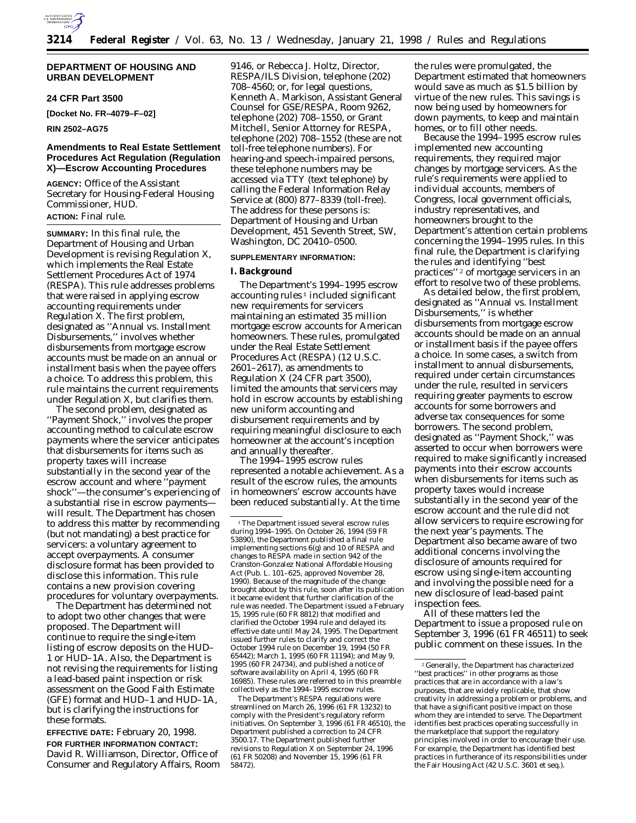

## **DEPARTMENT OF HOUSING AND URBAN DEVELOPMENT**

## **24 CFR Part 3500**

**[Docket No. FR–4079–F–02]**

**RIN 2502–AG75**

# **Amendments to Real Estate Settlement Procedures Act Regulation (Regulation X)—Escrow Accounting Procedures**

**AGENCY:** Office of the Assistant Secretary for Housing-Federal Housing Commissioner, HUD. **ACTION:** Final rule.

**SUMMARY:** In this final rule, the Department of Housing and Urban Development is revising Regulation X, which implements the Real Estate Settlement Procedures Act of 1974 (RESPA). This rule addresses problems that were raised in applying escrow accounting requirements under Regulation X. The first problem, designated as ''Annual vs. Installment Disbursements,'' involves whether disbursements from mortgage escrow accounts must be made on an annual or installment basis when the payee offers a choice. To address this problem, this rule maintains the current requirements under Regulation X, but clarifies them.

The second problem, designated as ''Payment Shock,'' involves the proper accounting method to calculate escrow payments where the servicer anticipates that disbursements for items such as property taxes will increase substantially in the second year of the escrow account and where ''payment shock''—the consumer's experiencing of a substantial rise in escrow payments will result. The Department has chosen to address this matter by recommending (but not mandating) a best practice for servicers: a voluntary agreement to accept overpayments. A consumer disclosure format has been provided to disclose this information. This rule contains a new provision covering procedures for voluntary overpayments.

The Department has determined not to adopt two other changes that were proposed. The Department will continue to require the single-item listing of escrow deposits on the HUD– 1 or HUD–1A. Also, the Department is not revising the requirements for listing a lead-based paint inspection or risk assessment on the Good Faith Estimate (GFE) format and HUD–1 and HUD–1A, but is clarifying the instructions for these formats.

**EFFECTIVE DATE:** February 20, 1998. **FOR FURTHER INFORMATION CONTACT:** David R. Williamson, Director, Office of Consumer and Regulatory Affairs, Room

9146, or Rebecca J. Holtz, Director, RESPA/ILS Division, telephone (202) 708–4560; or, for legal questions, Kenneth A. Markison, Assistant General Counsel for GSE/RESPA, Room 9262, telephone (202) 708–1550, or Grant Mitchell, Senior Attorney for RESPA, telephone (202) 708–1552 (these are not toll-free telephone numbers). For hearing-and speech-impaired persons, these telephone numbers may be accessed via TTY (text telephone) by calling the Federal Information Relay Service at (800) 877–8339 (toll-free). The address for these persons is: Department of Housing and Urban Development, 451 Seventh Street, SW, Washington, DC 20410–0500.

# **SUPPLEMENTARY INFORMATION:**

### **I. Background**

The Department's 1994–1995 escrow  $accounting rules<sup>1</sup> included significant$ new requirements for servicers maintaining an estimated 35 million mortgage escrow accounts for American homeowners. These rules, promulgated under the Real Estate Settlement Procedures Act (RESPA) (12 U.S.C. 2601–2617), as amendments to Regulation X (24 CFR part 3500), limited the amounts that servicers may hold in escrow accounts by establishing new uniform accounting and disbursement requirements and by requiring meaningful disclosure to each homeowner at the account's inception and annually thereafter.

The 1994–1995 escrow rules represented a notable achievement. As a result of the escrow rules, the amounts in homeowners' escrow accounts have been reduced substantially. At the time

The Department's RESPA regulations were streamlined on March 26, 1996 (61 FR 13232) to comply with the President's regulatory reform initiatives. On September 3, 1996 (61 FR 46510), the Department published a correction to 24 CFR 3500.17. The Department published further revisions to Regulation X on September 24, 1996 (61 FR 50208) and November 15, 1996 (61 FR 58472).

the rules were promulgated, the Department estimated that homeowners would save as much as \$1.5 billion by virtue of the new rules. This savings is now being used by homeowners for down payments, to keep and maintain homes, or to fill other needs.

Because the 1994–1995 escrow rules implemented new accounting requirements, they required major changes by mortgage servicers. As the rule's requirements were applied to individual accounts, members of Congress, local government officials, industry representatives, and homeowners brought to the Department's attention certain problems concerning the 1994–1995 rules. In this final rule, the Department is clarifying the rules and identifying ''best practices'' 2 of mortgage servicers in an effort to resolve two of these problems.

As detailed below, the first problem, designated as ''Annual vs. Installment Disbursements,'' is whether disbursements from mortgage escrow accounts should be made on an annual or installment basis if the payee offers a choice. In some cases, a switch from installment to annual disbursements, required under certain circumstances under the rule, resulted in servicers requiring greater payments to escrow accounts for some borrowers and adverse tax consequences for some borrowers. The second problem, designated as ''Payment Shock,'' was asserted to occur when borrowers were required to make significantly increased payments into their escrow accounts when disbursements for items such as property taxes would increase substantially in the second year of the escrow account and the rule did not allow servicers to require escrowing for the next year's payments. The Department also became aware of two additional concerns involving the disclosure of amounts required for escrow using single-item accounting and involving the possible need for a new disclosure of lead-based paint inspection fees.

All of these matters led the Department to issue a proposed rule on September 3, 1996 (61 FR 46511) to seek public comment on these issues. In the

<sup>&</sup>lt;sup>1</sup>The Department issued several escrow rules during 1994–1995. On October 26, 1994 (59 FR 53890), the Department published a final rule implementing sections  $6(g)$  and 10 of RESPA and changes to RESPA made in section 942 of the Cranston-Gonzalez National Affordable Housing Act (Pub. L. 101–625, approved November 28, 1990). Because of the magnitude of the change brought about by this rule, soon after its publication it became evident that further clarification of the rule was needed. The Department issued a February 15, 1995 rule (60 FR 8812) that modified and clarified the October 1994 rule and delayed its effective date until May 24, 1995. The Department issued further rules to clarify and correct the October 1994 rule on December 19, 1994 (50 FR 65442); March 1, 1995 (60 FR 11194); and May 9, 1995 (60 FR 24734), and published a notice of software availability on April 4, 1995 (60 FR 16985). These rules are referred to in this preamble collectively as the 1994–1995 escrow rules.

<sup>2</sup> Generally, the Department has characterized ''best practices'' in other programs as those practices that are in accordance with a law's purposes, that are widely replicable, that show creativity in addressing a problem or problems, and that have a significant positive impact on those whom they are intended to serve. The Department identifies best practices operating successfully in the marketplace that support the regulatory principles involved in order to encourage their use. For example, the Department has identified best practices in furtherance of its responsibilities under the Fair Housing Act (42 U.S.C. 3601 *et seq.*).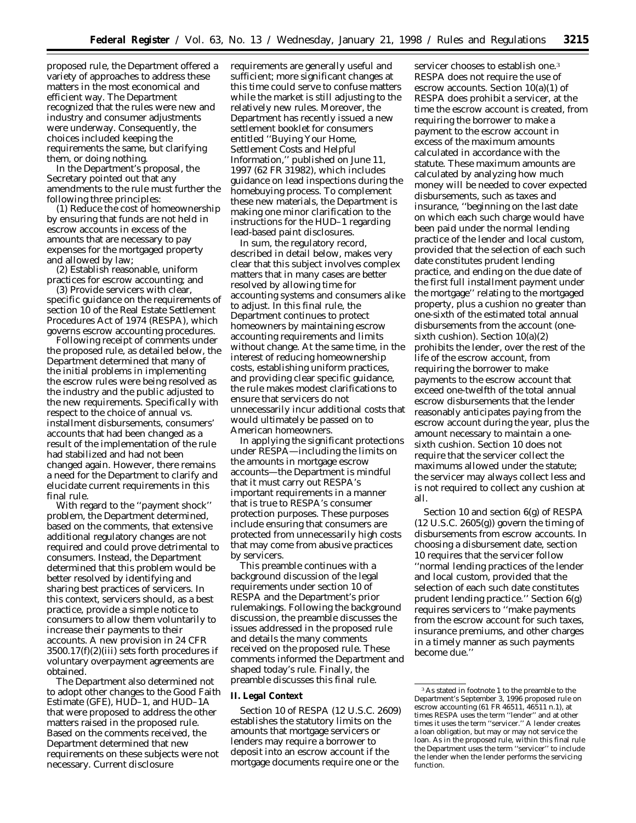proposed rule, the Department offered a variety of approaches to address these matters in the most economical and efficient way. The Department recognized that the rules were new and industry and consumer adjustments were underway. Consequently, the choices included keeping the requirements the same, but clarifying them, or doing nothing.

In the Department's proposal, the Secretary pointed out that any amendments to the rule must further the following three principles:

(1) Reduce the cost of homeownership by ensuring that funds are not held in escrow accounts in excess of the amounts that are necessary to pay expenses for the mortgaged property and allowed by law;

(2) Establish reasonable, uniform practices for escrow accounting; and

(3) Provide servicers with clear, specific guidance on the requirements of section 10 of the Real Estate Settlement Procedures Act of 1974 (RESPA), which governs escrow accounting procedures.

Following receipt of comments under the proposed rule, as detailed below, the Department determined that many of the initial problems in implementing the escrow rules were being resolved as the industry and the public adjusted to the new requirements. Specifically with respect to the choice of annual vs. installment disbursements, consumers' accounts that had been changed as a result of the implementation of the rule had stabilized and had not been changed again. However, there remains a need for the Department to clarify and elucidate current requirements in this final rule.

With regard to the ''payment shock'' problem, the Department determined, based on the comments, that extensive additional regulatory changes are not required and could prove detrimental to consumers. Instead, the Department determined that this problem would be better resolved by identifying and sharing best practices of servicers. In this context, servicers should, as a best practice, provide a simple notice to consumers to allow them voluntarily to increase their payments to their accounts. A new provision in 24 CFR 3500.17(f)(2)(iii) sets forth procedures if voluntary overpayment agreements are obtained.

The Department also determined not to adopt other changes to the Good Faith Estimate (GFE), HUD–1, and HUD–1A that were proposed to address the other matters raised in the proposed rule. Based on the comments received, the Department determined that new requirements on these subjects were not necessary. Current disclosure

requirements are generally useful and sufficient; more significant changes at this time could serve to confuse matters while the market is still adjusting to the relatively new rules. Moreover, the Department has recently issued a new settlement booklet for consumers entitled ''Buying Your Home, Settlement Costs and Helpful Information,'' published on June 11, 1997 (62 FR 31982), which includes guidance on lead inspections during the homebuying process. To complement these new materials, the Department is making one minor clarification to the instructions for the HUD–1 regarding lead-based paint disclosures.

In sum, the regulatory record, described in detail below, makes very clear that this subject involves complex matters that in many cases are better resolved by allowing time for accounting systems and consumers alike to adjust. In this final rule, the Department continues to protect homeowners by maintaining escrow accounting requirements and limits without change. At the same time, in the interest of reducing homeownership costs, establishing uniform practices, and providing clear specific guidance, the rule makes modest clarifications to ensure that servicers do not unnecessarily incur additional costs that would ultimately be passed on to American homeowners.

In applying the significant protections under RESPA—including the limits on the amounts in mortgage escrow accounts—the Department is mindful that it must carry out RESPA's important requirements in a manner that is true to RESPA's consumer protection purposes. These purposes include ensuring that consumers are protected from unnecessarily high costs that may come from abusive practices by servicers.

This preamble continues with a background discussion of the legal requirements under section 10 of RESPA and the Department's prior rulemakings. Following the background discussion, the preamble discusses the issues addressed in the proposed rule and details the many comments received on the proposed rule. These comments informed the Department and shaped today's rule. Finally, the preamble discusses this final rule.

#### **II. Legal Context**

Section 10 of RESPA (12 U.S.C. 2609) establishes the statutory limits on the amounts that mortgage servicers or lenders may require a borrower to deposit into an escrow account if the mortgage documents require one or the

servicer chooses to establish one.3 RESPA does not require the use of escrow accounts. Section 10(a)(1) of RESPA does prohibit a servicer, at the time the escrow account is created, from requiring the borrower to make a payment to the escrow account in excess of the maximum amounts calculated in accordance with the statute. These maximum amounts are calculated by analyzing how much money will be needed to cover expected disbursements, such as taxes and insurance, ''beginning on the last date on which each such charge would have been paid under the normal lending practice of the lender and local custom, provided that the selection of each such date constitutes prudent lending practice, and ending on the due date of the first full installment payment under the mortgage'' relating to the mortgaged property, plus a cushion no greater than one-sixth of the estimated total annual disbursements from the account (onesixth cushion). Section 10(a)(2) prohibits the lender, over the rest of the life of the escrow account, from requiring the borrower to make payments to the escrow account that exceed one-twelfth of the total annual escrow disbursements that the lender reasonably anticipates paying from the escrow account during the year, plus the amount necessary to maintain a onesixth cushion. Section 10 does not require that the servicer collect the maximums allowed under the statute; the servicer may always collect less and is not required to collect any cushion at all.

Section 10 and section 6(g) of RESPA  $(12 \text{ U.S.C. } 2605(g))$  govern the timing of disbursements from escrow accounts. In choosing a disbursement date, section 10 requires that the servicer follow ''normal lending practices of the lender and local custom, provided that the selection of each such date constitutes prudent lending practice.'' Section 6(g) requires servicers to ''make payments from the escrow account for such taxes, insurance premiums, and other charges in a timely manner as such payments become due.''

<sup>3</sup>As stated in footnote 1 to the preamble to the Department's September 3, 1996 proposed rule on escrow accounting (61 FR 46511, 46511 n.1), at times RESPA uses the term ''lender'' and at other times it uses the term ''servicer.'' A lender creates a loan obligation, but may or may not service the loan. As in the proposed rule, within this final rule the Department uses the term ''servicer'' to include the lender when the lender performs the servicing function.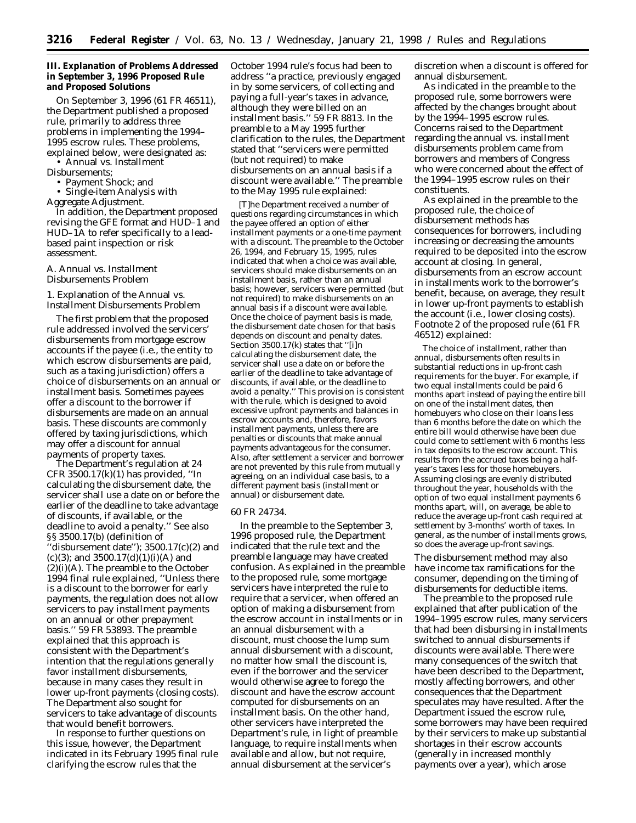### **III. Explanation of Problems Addressed in September 3, 1996 Proposed Rule and Proposed Solutions**

On September 3, 1996 (61 FR 46511), the Department published a proposed rule, primarily to address three problems in implementing the 1994– 1995 escrow rules. These problems, explained below, were designated as:

• Annual vs. Installment Disbursements;

• Payment Shock; and

• Single-item Analysis with

Aggregate Adjustment.

In addition, the Department proposed revising the GFE format and HUD–1 and HUD–1A to refer specifically to a leadbased paint inspection or risk assessment.

# *A. Annual vs. Installment Disbursements Problem*

1. Explanation of the Annual vs. Installment Disbursements Problem

The first problem that the proposed rule addressed involved the servicers' disbursements from mortgage escrow accounts if the payee (i.e., the entity to which escrow disbursements are paid, such as a taxing jurisdiction) offers a choice of disbursements on an annual or installment basis. Sometimes payees offer a discount to the borrower if disbursements are made on an annual basis. These discounts are commonly offered by taxing jurisdictions, which may offer a discount for annual payments of property taxes.

The Department's regulation at 24 CFR 3500.17 $(k)(1)$  has provided, "In calculating the disbursement date, the servicer shall use a date on or before the earlier of the deadline to take advantage of discounts, if available, or the deadline to avoid a penalty.'' See also §§ 3500.17(b) (definition of 'disbursement date'');  $3500.17(c)(2)$  and (c)(3); and  $3500.17(d)(1)(i)(A)$  and  $(2)(i)(A)$ . The preamble to the October 1994 final rule explained, ''Unless there is a discount to the borrower for early payments, the regulation does not allow servicers to pay installment payments on an annual or other prepayment basis.'' 59 FR 53893. The preamble explained that this approach is consistent with the Department's intention that the regulations generally favor installment disbursements, because in many cases they result in lower up-front payments (closing costs). The Department also sought for servicers to take advantage of discounts that would benefit borrowers.

In response to further questions on this issue, however, the Department indicated in its February 1995 final rule clarifying the escrow rules that the

October 1994 rule's focus had been to address ''a practice, previously engaged in by some servicers, of collecting and paying a full-year's taxes in advance, although they were billed on an installment basis.'' 59 FR 8813. In the preamble to a May 1995 further clarification to the rules, the Department stated that ''servicers were permitted (but not required) to make disbursements on an annual basis if a discount were available.'' The preamble to the May 1995 rule explained:

[T]he Department received a number of questions regarding circumstances in which the payee offered an option of either installment payments or a one-time payment with a discount. The preamble to the October 26, 1994, and February 15, 1995, rules indicated that when a choice was available, servicers should make disbursements on an installment basis, rather than an annual basis; however, servicers were permitted (but not required) to make disbursements on an annual basis if a discount were available. Once the choice of payment basis is made, the disbursement date chosen for that basis depends on discount and penalty dates. Section 3500.17(k) states that ''[i]n calculating the disbursement date, the servicer shall use a date on or before the earlier of the deadline to take advantage of discounts, if available, or the deadline to avoid a penalty.'' This provision is consistent with the rule, which is designed to avoid excessive upfront payments and balances in escrow accounts and, therefore, favors installment payments, unless there are penalties or discounts that make annual payments advantageous for the consumer. Also, after settlement a servicer and borrower are not prevented by this rule from mutually agreeing, on an individual case basis, to a different payment basis (installment or annual) or disbursement date.

#### 60 FR 24734.

In the preamble to the September 3, 1996 proposed rule, the Department indicated that the rule text and the preamble language may have created confusion. As explained in the preamble to the proposed rule, some mortgage servicers have interpreted the rule to require that a servicer, when offered an option of making a disbursement from the escrow account in installments or in an annual disbursement with a discount, must choose the lump sum annual disbursement with a discount, no matter how small the discount is, even if the borrower and the servicer would otherwise agree to forego the discount and have the escrow account computed for disbursements on an installment basis. On the other hand, other servicers have interpreted the Department's rule, in light of preamble language, to require installments when available and allow, but not require, annual disbursement at the servicer's

discretion when a discount is offered for annual disbursement.

As indicated in the preamble to the proposed rule, some borrowers were affected by the changes brought about by the 1994–1995 escrow rules. Concerns raised to the Department regarding the annual vs. installment disbursements problem came from borrowers and members of Congress who were concerned about the effect of the 1994–1995 escrow rules on their constituents.

As explained in the preamble to the proposed rule, the choice of disbursement methods has consequences for borrowers, including increasing or decreasing the amounts required to be deposited into the escrow account at closing. In general, disbursements from an escrow account in installments work to the borrower's benefit, because, on average, they result in lower up-front payments to establish the account (i.e., lower closing costs). Footnote 2 of the proposed rule (61 FR 46512) explained:

The choice of installment, rather than annual, disbursements often results in substantial reductions in up-front cash requirements for the buyer. For example, if two equal installments could be paid 6 months apart instead of paying the entire bill on one of the installment dates, then homebuyers who close on their loans less than 6 months before the date on which the entire bill would otherwise have been due could come to settlement with 6 months less in tax deposits to the escrow account. This results from the accrued taxes being a halfyear's taxes less for those homebuyers. Assuming closings are evenly distributed throughout the year, households with the option of two equal installment payments 6 months apart, will, on average, be able to reduce the average up-front cash required at settlement by 3-months' worth of taxes. In general, as the number of installments grows, so does the average up-front savings.

The disbursement method may also have income tax ramifications for the consumer, depending on the timing of disbursements for deductible items.

The preamble to the proposed rule explained that after publication of the 1994–1995 escrow rules, many servicers that had been disbursing in installments switched to annual disbursements if discounts were available. There were many consequences of the switch that have been described to the Department, mostly affecting borrowers, and other consequences that the Department speculates may have resulted. After the Department issued the escrow rule, some borrowers may have been required by their servicers to make up substantial shortages in their escrow accounts (generally in increased monthly payments over a year), which arose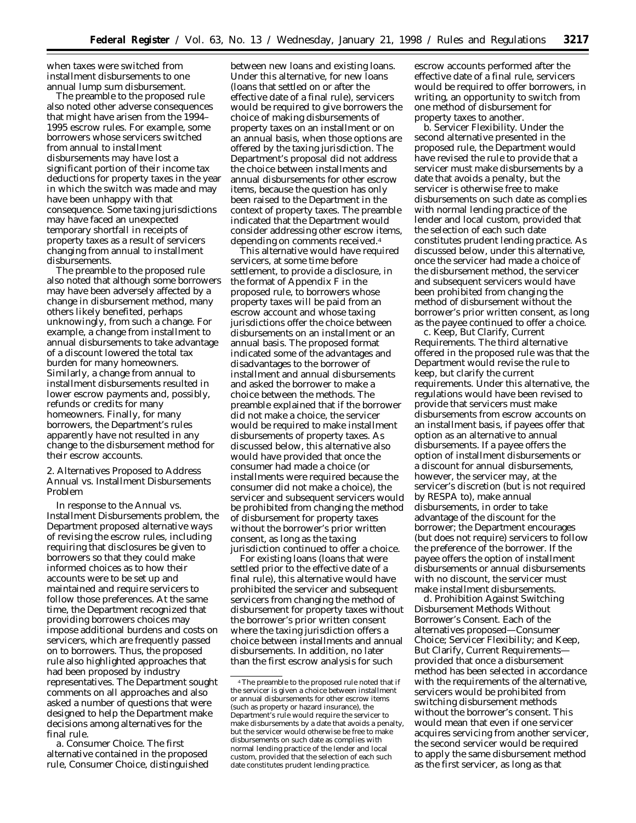when taxes were switched from installment disbursements to one annual lump sum disbursement.

The preamble to the proposed rule also noted other adverse consequences that might have arisen from the 1994– 1995 escrow rules. For example, some borrowers whose servicers switched from annual to installment disbursements may have lost a significant portion of their income tax deductions for property taxes in the year in which the switch was made and may have been unhappy with that consequence. Some taxing jurisdictions may have faced an unexpected temporary shortfall in receipts of property taxes as a result of servicers changing from annual to installment disbursements.

The preamble to the proposed rule also noted that although some borrowers may have been adversely affected by a change in disbursement method, many others likely benefited, perhaps unknowingly, from such a change. For example, a change from installment to annual disbursements to take advantage of a discount lowered the total tax burden for many homeowners. Similarly, a change from annual to installment disbursements resulted in lower escrow payments and, possibly, refunds or credits for many homeowners. Finally, for many borrowers, the Department's rules apparently have not resulted in any change to the disbursement method for their escrow accounts.

2. Alternatives Proposed to Address Annual vs. Installment Disbursements Problem

In response to the Annual vs. Installment Disbursements problem, the Department proposed alternative ways of revising the escrow rules, including requiring that disclosures be given to borrowers so that they could make informed choices as to how their accounts were to be set up and maintained and require servicers to follow those preferences. At the same time, the Department recognized that providing borrowers choices may impose additional burdens and costs on servicers, which are frequently passed on to borrowers. Thus, the proposed rule also highlighted approaches that had been proposed by industry representatives. The Department sought comments on all approaches and also asked a number of questions that were designed to help the Department make decisions among alternatives for the final rule.

*a. Consumer Choice.* The first alternative contained in the proposed rule, Consumer Choice, distinguished

between new loans and existing loans. Under this alternative, for new loans (loans that settled on or after the effective date of a final rule), servicers would be required to give borrowers the choice of making disbursements of property taxes on an installment or on an annual basis, when those options are offered by the taxing jurisdiction. The Department's proposal did not address the choice between installments and annual disbursements for other escrow items, because the question has only been raised to the Department in the context of property taxes. The preamble indicated that the Department would consider addressing other escrow items, depending on comments received.4

This alternative would have required servicers, at some time before settlement, to provide a disclosure, in the format of Appendix F in the proposed rule, to borrowers whose property taxes will be paid from an escrow account and whose taxing jurisdictions offer the choice between disbursements on an installment or an annual basis. The proposed format indicated some of the advantages and disadvantages to the borrower of installment and annual disbursements and asked the borrower to make a choice between the methods. The preamble explained that if the borrower did not make a choice, the servicer would be required to make installment disbursements of property taxes. As discussed below, this alternative also would have provided that once the consumer had made a choice (or installments were required because the consumer did not make a choice), the servicer and subsequent servicers would be prohibited from changing the method of disbursement for property taxes without the borrower's prior written consent, as long as the taxing jurisdiction continued to offer a choice.

For existing loans (loans that were settled prior to the effective date of a final rule), this alternative would have prohibited the servicer and subsequent servicers from changing the method of disbursement for property taxes without the borrower's prior written consent where the taxing jurisdiction offers a choice between installments and annual disbursements. In addition, no later than the first escrow analysis for such

escrow accounts performed after the effective date of a final rule, servicers would be required to offer borrowers, in writing, an opportunity to switch from one method of disbursement for property taxes to another.

*b. Servicer Flexibility.* Under the second alternative presented in the proposed rule, the Department would have revised the rule to provide that a servicer must make disbursements by a date that avoids a penalty, but the servicer is otherwise free to make disbursements on such date as complies with normal lending practice of the lender and local custom, provided that the selection of each such date constitutes prudent lending practice. As discussed below, under this alternative, once the servicer had made a choice of the disbursement method, the servicer and subsequent servicers would have been prohibited from changing the method of disbursement without the borrower's prior written consent, as long as the payee continued to offer a choice.

*c. Keep, But Clarify, Current Requirements.* The third alternative offered in the proposed rule was that the Department would revise the rule to keep, but clarify the current requirements. Under this alternative, the regulations would have been revised to provide that servicers must make disbursements from escrow accounts on an installment basis, if payees offer that option as an alternative to annual disbursements. If a payee offers the option of installment disbursements or a discount for annual disbursements, however, the servicer may, at the servicer's discretion (but is not required by RESPA to), make annual disbursements, in order to take advantage of the discount for the borrower; the Department encourages (but does not require) servicers to follow the preference of the borrower. If the payee offers the option of installment disbursements or annual disbursements with no discount, the servicer must make installment disbursements.

*d. Prohibition Against Switching Disbursement Methods Without Borrower's Consent.* Each of the alternatives proposed—Consumer Choice; Servicer Flexibility; and Keep, But Clarify, Current Requirements provided that once a disbursement method has been selected in accordance with the requirements of the alternative, servicers would be prohibited from switching disbursement methods without the borrower's consent. This would mean that even if one servicer acquires servicing from another servicer, the second servicer would be required to apply the same disbursement method as the first servicer, as long as that

<sup>4</sup>The preamble to the proposed rule noted that if the servicer is given a choice between installment or annual disbursements for other escrow items (such as property or hazard insurance), the Department's rule would require the servicer to make disbursements by a date that avoids a penalty, but the servicer would otherwise be free to make disbursements on such date as complies with normal lending practice of the lender and local custom, provided that the selection of each such date constitutes prudent lending practice.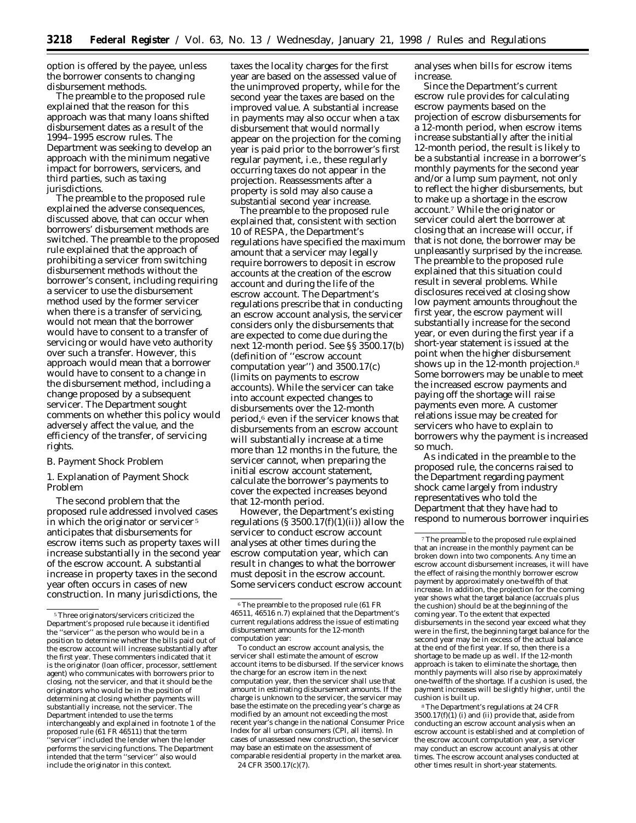option is offered by the payee, unless the borrower consents to changing disbursement methods.

The preamble to the proposed rule explained that the reason for this approach was that many loans shifted disbursement dates as a result of the 1994–1995 escrow rules. The Department was seeking to develop an approach with the minimum negative impact for borrowers, servicers, and third parties, such as taxing jurisdictions.

The preamble to the proposed rule explained the adverse consequences, discussed above, that can occur when borrowers' disbursement methods are switched. The preamble to the proposed rule explained that the approach of prohibiting a servicer from switching disbursement methods without the borrower's consent, including requiring a servicer to use the disbursement method used by the former servicer when there is a transfer of servicing, would not mean that the borrower would have to consent to a transfer of servicing or would have veto authority over such a transfer. However, this approach would mean that a borrower would have to consent to a change in the disbursement method, including a change proposed by a subsequent servicer. The Department sought comments on whether this policy would adversely affect the value, and the efficiency of the transfer, of servicing rights.

### *B. Payment Shock Problem*

1. Explanation of Payment Shock Problem

The second problem that the proposed rule addressed involved cases in which the originator or servicer 5 anticipates that disbursements for escrow items such as property taxes will increase substantially in the second year of the escrow account. A substantial increase in property taxes in the second year often occurs in cases of new construction. In many jurisdictions, the

taxes the locality charges for the first year are based on the assessed value of the unimproved property, while for the second year the taxes are based on the improved value. A substantial increase in payments may also occur when a tax disbursement that would normally appear on the projection for the coming year is paid prior to the borrower's first regular payment, i.e., these regularly occurring taxes do not appear in the projection. Reassessments after a property is sold may also cause a substantial second year increase.

The preamble to the proposed rule explained that, consistent with section 10 of RESPA, the Department's regulations have specified the maximum amount that a servicer may legally require borrowers to deposit in escrow accounts at the creation of the escrow account and during the life of the escrow account. The Department's regulations prescribe that in conducting an escrow account analysis, the servicer considers only the disbursements that are expected to come due during the next 12-month period. See §§ 3500.17(b) (definition of ''escrow account computation year'') and 3500.17(c) (limits on payments to escrow accounts). While the servicer can take into account expected changes to disbursements over the 12-month period,6 even if the servicer knows that disbursements from an escrow account will substantially increase at a time more than 12 months in the future, the servicer cannot, when preparing the initial escrow account statement, calculate the borrower's payments to cover the expected increases beyond that 12-month period.

However, the Department's existing regulations  $(S 3500.17(f)(1)(ii))$  allow the servicer to conduct escrow account analyses at other times during the escrow computation year, which can result in changes to what the borrower must deposit in the escrow account. Some servicers conduct escrow account

analyses when bills for escrow items increase.

Since the Department's current escrow rule provides for calculating escrow payments based on the projection of escrow disbursements for a 12-month period, when escrow items increase substantially after the initial 12-month period, the result is likely to be a substantial increase in a borrower's monthly payments for the second year and/or a lump sum payment, not only to reflect the higher disbursements, but to make up a shortage in the escrow account.7 While the originator or servicer could alert the borrower at closing that an increase will occur, if that is not done, the borrower may be unpleasantly surprised by the increase. The preamble to the proposed rule explained that this situation could result in several problems. While disclosures received at closing show low payment amounts throughout the first year, the escrow payment will substantially increase for the second year, or even during the first year if a short-year statement is issued at the point when the higher disbursement shows up in the 12-month projection.<sup>8</sup> Some borrowers may be unable to meet the increased escrow payments and paying off the shortage will raise payments even more. A customer relations issue may be created for servicers who have to explain to borrowers why the payment is increased so much.

As indicated in the preamble to the proposed rule, the concerns raised to the Department regarding payment shock came largely from industry representatives who told the Department that they have had to respond to numerous borrower inquiries

<sup>5</sup>Three originators/servicers criticized the Department's proposed rule because it identified the ''servicer'' as the person who would be in a position to determine whether the bills paid out of the escrow account will increase substantially after the first year. These commenters indicated that it is the originator (loan officer, processor, settlement agent) who communicates with borrowers prior to closing, not the servicer, and that it should be the originators who would be in the position of determining at closing whether payments will substantially increase, not the servicer. The Department intended to use the terms interchangeably and explained in footnote 1 of the proposed rule (61 FR 46511) that the term servicer" included the lender when the lender performs the servicing functions. The Department intended that the term ''servicer'' also would include the originator in this context.

<sup>6</sup>The preamble to the proposed rule (61 FR 46511, 46516 n.7) explained that the Department's current regulations address the issue of estimating disbursement amounts for the 12-month computation year:

To conduct an escrow account analysis, the servicer shall estimate the amount of escrow account items to be disbursed. If the servicer knows the charge for an escrow item in the next computation year, then the servicer shall use that amount in estimating disbursement amounts. If the charge is unknown to the servicer, the servicer may base the estimate on the preceding year's charge as modified by an amount not exceeding the most recent year's change in the national Consumer Price Index for all urban consumers (CPI, all items). In cases of unassessed new construction, the servicer may base an estimate on the assessment of comparable residential property in the market area. 24 CFR 3500.17(c)(7).

<sup>7</sup>The preamble to the proposed rule explained that an increase in the monthly payment can be broken down into two components. Any time an escrow account disbursement increases, it will have the effect of raising the monthly borrower escrow payment by approximately one-twelfth of that increase. In addition, the projection for the coming year shows what the target balance (accruals plus the cushion) should be at the beginning of the coming year. To the extent that expected disbursements in the second year exceed what they were in the first, the beginning target balance for the second year may be in excess of the actual balance at the end of the first year. If so, then there is a shortage to be made up as well. If the 12-month approach is taken to eliminate the shortage, then monthly payments will also rise by approximately one-twelfth of the shortage. If a cushion is used, the payment increases will be slightly higher, until the cushion is built up.

<sup>8</sup>The Department's regulations at 24 CFR  $3500.17(f)(1)$  (i) and (ii) provide that, aside from conducting an escrow account analysis when an escrow account is established and at completion of the escrow account computation year, a servicer may conduct an escrow account analysis at other times. The escrow account analyses conducted at other times result in short-year statements.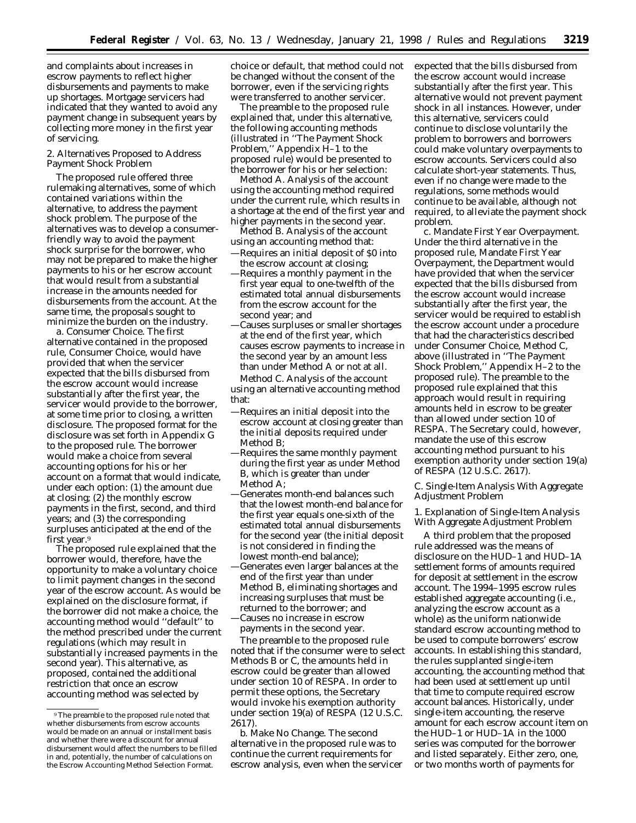and complaints about increases in escrow payments to reflect higher disbursements and payments to make up shortages. Mortgage servicers had indicated that they wanted to avoid any payment change in subsequent years by collecting more money in the first year of servicing.

2. Alternatives Proposed to Address Payment Shock Problem

The proposed rule offered three rulemaking alternatives, some of which contained variations within the alternative, to address the payment shock problem. The purpose of the alternatives was to develop a consumerfriendly way to avoid the payment shock surprise for the borrower, who may not be prepared to make the higher payments to his or her escrow account that would result from a substantial increase in the amounts needed for disbursements from the account. At the same time, the proposals sought to minimize the burden on the industry.

*a. Consumer Choice.* The first alternative contained in the proposed rule, Consumer Choice, would have provided that when the servicer expected that the bills disbursed from the escrow account would increase substantially after the first year, the servicer would provide to the borrower, at some time prior to closing, a written disclosure. The proposed format for the disclosure was set forth in Appendix G to the proposed rule. The borrower would make a choice from several accounting options for his or her account on a format that would indicate, under each option: (1) the amount due at closing; (2) the monthly escrow payments in the first, second, and third years; and (3) the corresponding surpluses anticipated at the end of the first year.9

The proposed rule explained that the borrower would, therefore, have the opportunity to make a voluntary choice to limit payment changes in the second year of the escrow account. As would be explained on the disclosure format, if the borrower did not make a choice, the accounting method would ''default'' to the method prescribed under the current regulations (which may result in substantially increased payments in the second year). This alternative, as proposed, contained the additional restriction that once an escrow accounting method was selected by

choice or default, that method could not be changed without the consent of the borrower, even if the servicing rights were transferred to another servicer.

The preamble to the proposed rule explained that, under this alternative, the following accounting methods (illustrated in ''The Payment Shock Problem,'' Appendix H–1 to the proposed rule) would be presented to the borrower for his or her selection:

*Method A.* Analysis of the account using the accounting method required under the current rule, which results in a shortage at the end of the first year and higher payments in the second year.

- *Method B.* Analysis of the account using an accounting method that:
- —Requires an initial deposit of \$0 into the escrow account at closing;
- —Requires a monthly payment in the first year equal to one-twelfth of the estimated total annual disbursements from the escrow account for the second year; and
- —Causes surpluses or smaller shortages at the end of the first year, which causes escrow payments to increase in the second year by an amount less than under Method A or not at all. *Method C.* Analysis of the account

using an alternative accounting method that:

- —Requires an initial deposit into the escrow account at closing greater than the initial deposits required under Method B;
- —Requires the same monthly payment during the first year as under Method B, which is greater than under Method A<sup>.</sup>
- —Generates month-end balances such that the lowest month-end balance for the first year equals one-sixth of the estimated total annual disbursements for the second year (the initial deposit is not considered in finding the lowest month-end balance);
- —Generates even larger balances at the end of the first year than under Method B, eliminating shortages and increasing surpluses that must be returned to the borrower; and —Causes no increase in escrow payments in the second year.

The preamble to the proposed rule noted that if the consumer were to select Methods B or C, the amounts held in escrow could be greater than allowed under section 10 of RESPA. In order to permit these options, the Secretary would invoke his exemption authority under section 19(a) of RESPA (12 U.S.C. 2617).

expected that the bills disbursed from the escrow account would increase substantially after the first year. This alternative would not prevent payment shock in all instances. However, under this alternative, servicers could continue to disclose voluntarily the problem to borrowers and borrowers could make voluntary overpayments to escrow accounts. Servicers could also calculate short-year statements. Thus, even if no change were made to the regulations, some methods would continue to be available, although not required, to alleviate the payment shock problem.

*c. Mandate First Year Overpayment.* Under the third alternative in the proposed rule, Mandate First Year Overpayment, the Department would have provided that when the servicer expected that the bills disbursed from the escrow account would increase substantially after the first year, the servicer would be required to establish the escrow account under a procedure that had the characteristics described under Consumer Choice, Method C, above (illustrated in ''The Payment Shock Problem,'' Appendix H–2 to the proposed rule). The preamble to the proposed rule explained that this approach would result in requiring amounts held in escrow to be greater than allowed under section 10 of RESPA. The Secretary could, however, mandate the use of this escrow accounting method pursuant to his exemption authority under section 19(a) of RESPA (12 U.S.C. 2617).

*C. Single-Item Analysis With Aggregate Adjustment Problem*

1. Explanation of Single-Item Analysis With Aggregate Adjustment Problem

A third problem that the proposed rule addressed was the means of disclosure on the HUD–1 and HUD–1A settlement forms of amounts required for deposit at settlement in the escrow account. The 1994–1995 escrow rules established aggregate accounting (i.e., analyzing the escrow account as a whole) as the uniform nationwide standard escrow accounting method to be used to compute borrowers' escrow accounts. In establishing this standard, the rules supplanted single-item accounting, the accounting method that had been used at settlement up until that time to compute required escrow account balances. Historically, under single-item accounting, the reserve amount for each escrow account item on the HUD–1 or HUD–1A in the 1000 series was computed for the borrower and listed separately. Either zero, one, or two months worth of payments for

<sup>9</sup>The preamble to the proposed rule noted that whether disbursements from escrow accounts would be made on an annual or installment basis and whether there were a discount for annual disbursement would affect the numbers to be filled in and, potentially, the number of calculations on the Escrow Accounting Method Selection Format.

*b. Make No Change.* The second alternative in the proposed rule was to continue the current requirements for escrow analysis, even when the servicer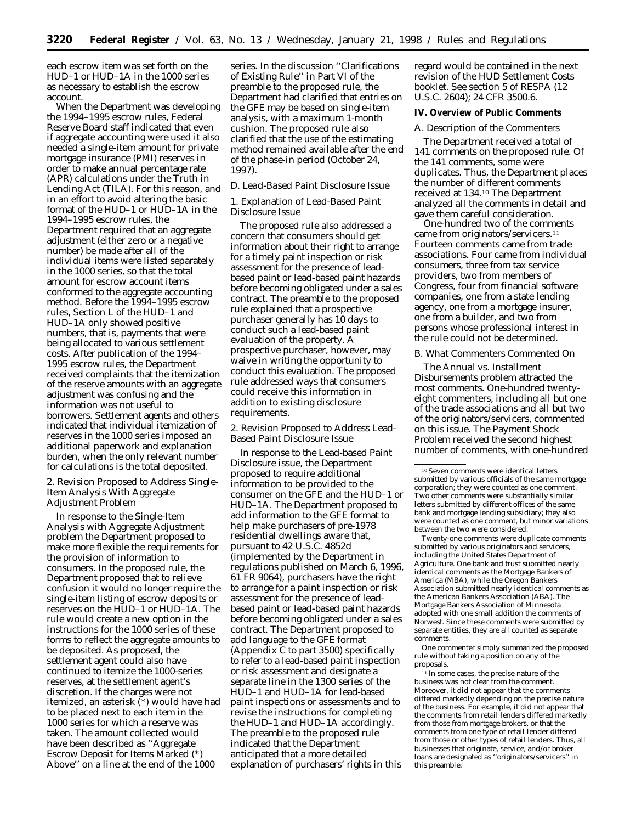each escrow item was set forth on the HUD–1 or HUD–1A in the 1000 series as necessary to establish the escrow account.

When the Department was developing the 1994–1995 escrow rules, Federal Reserve Board staff indicated that even if aggregate accounting were used it also needed a single-item amount for private mortgage insurance (PMI) reserves in order to make annual percentage rate (APR) calculations under the Truth in Lending Act (TILA). For this reason, and in an effort to avoid altering the basic format of the HUD–1 or HUD–1A in the 1994–1995 escrow rules, the Department required that an aggregate adjustment (either zero or a negative number) be made after all of the individual items were listed separately in the 1000 series, so that the total amount for escrow account items conformed to the aggregate accounting method. Before the 1994–1995 escrow rules, Section L of the HUD–1 and HUD–1A only showed positive numbers, that is, payments that were being allocated to various settlement costs. After publication of the 1994– 1995 escrow rules, the Department received complaints that the itemization of the reserve amounts with an aggregate adjustment was confusing and the information was not useful to borrowers. Settlement agents and others indicated that individual itemization of reserves in the 1000 series imposed an additional paperwork and explanation burden, when the only relevant number for calculations is the total deposited.

2. Revision Proposed to Address Single-Item Analysis With Aggregate Adjustment Problem

In response to the Single-Item Analysis with Aggregate Adjustment problem the Department proposed to make more flexible the requirements for the provision of information to consumers. In the proposed rule, the Department proposed that to relieve confusion it would no longer require the single-item listing of escrow deposits or reserves on the HUD–1 or HUD–1A. The rule would create a new option in the instructions for the 1000 series of these forms to reflect the aggregate amounts to be deposited. As proposed, the settlement agent could also have continued to itemize the 1000-series reserves, at the settlement agent's discretion. If the charges were not itemized, an asterisk (\*) would have had to be placed next to each item in the 1000 series for which a reserve was taken. The amount collected would have been described as ''Aggregate Escrow Deposit for Items Marked (\*) Above'' on a line at the end of the 1000

series. In the discussion ''Clarifications of Existing Rule'' in Part VI of the preamble to the proposed rule, the Department had clarified that entries on the GFE may be based on single-item analysis, with a maximum 1-month cushion. The proposed rule also clarified that the use of the estimating method remained available after the end of the phase-in period (October 24, 1997).

## *D. Lead-Based Paint Disclosure Issue*

1. Explanation of Lead-Based Paint Disclosure Issue

The proposed rule also addressed a concern that consumers should get information about their right to arrange for a timely paint inspection or risk assessment for the presence of leadbased paint or lead-based paint hazards before becoming obligated under a sales contract. The preamble to the proposed rule explained that a prospective purchaser generally has 10 days to conduct such a lead-based paint evaluation of the property. A prospective purchaser, however, may waive in writing the opportunity to conduct this evaluation. The proposed rule addressed ways that consumers could receive this information in addition to existing disclosure requirements.

2. Revision Proposed to Address Lead-Based Paint Disclosure Issue

In response to the Lead-based Paint Disclosure issue, the Department proposed to require additional information to be provided to the consumer on the GFE and the HUD–1 or HUD–1A. The Department proposed to add information to the GFE format to help make purchasers of pre-1978 residential dwellings aware that, pursuant to 42 U.S.C. 4852d (implemented by the Department in regulations published on March 6, 1996, 61 FR 9064), purchasers have the right to arrange for a paint inspection or risk assessment for the presence of leadbased paint or lead-based paint hazards before becoming obligated under a sales contract. The Department proposed to add language to the GFE format (Appendix C to part 3500) specifically to refer to a lead-based paint inspection or risk assessment and designate a separate line in the 1300 series of the HUD–1 and HUD–1A for lead-based paint inspections or assessments and to revise the instructions for completing the HUD–1 and HUD–1A accordingly. The preamble to the proposed rule indicated that the Department anticipated that a more detailed explanation of purchasers' rights in this

regard would be contained in the next revision of the HUD Settlement Costs booklet. See section 5 of RESPA (12 U.S.C. 2604); 24 CFR 3500.6.

# **IV. Overview of Public Comments**

#### *A. Description of the Commenters*

The Department received a total of 141 comments on the proposed rule. Of the 141 comments, some were duplicates. Thus, the Department places the number of different comments received at 134.10 The Department analyzed all the comments in detail and gave them careful consideration.

One-hundred two of the comments came from originators/servicers.11 Fourteen comments came from trade associations. Four came from individual consumers, three from tax service providers, two from members of Congress, four from financial software companies, one from a state lending agency, one from a mortgage insurer, one from a builder, and two from persons whose professional interest in the rule could not be determined.

### *B. What Commenters Commented On*

The Annual vs. Installment Disbursements problem attracted the most comments. One-hundred twentyeight commenters, including all but one of the trade associations and all but two of the originators/servicers, commented on this issue. The Payment Shock Problem received the second highest number of comments, with one-hundred

Twenty-one comments were duplicate comments submitted by various originators and servicers, including the United States Department of Agriculture. One bank and trust submitted nearly identical comments as the Mortgage Bankers of America (MBA), while the Oregon Bankers Association submitted nearly identical comments as the American Bankers Association (ABA). The Mortgage Bankers Association of Minnesota adopted with one small addition the comments of Norwest. Since these comments were submitted by separate entities, they are all counted as separate comments.

One commenter simply summarized the proposed rule without taking a position on any of the proposals.

<sup>11</sup> In some cases, the precise nature of the business was not clear from the comment. Moreover, it did not appear that the comments differed markedly depending on the precise nature of the business. For example, it did not appear that the comments from retail lenders differed markedly from those from mortgage brokers, or that the comments from one type of retail lender differed from those or other types of retail lenders. Thus, all businesses that originate, service, and/or broker loans are designated as ''originators/servicers'' in this preamble.

<sup>10</sup>Seven comments were identical letters submitted by various officials of the same mortgage corporation; they were counted as one comment. Two other comments were substantially similar letters submitted by different offices of the same bank and mortgage lending subsidiary; they also were counted as one comment, but minor variations between the two were considered.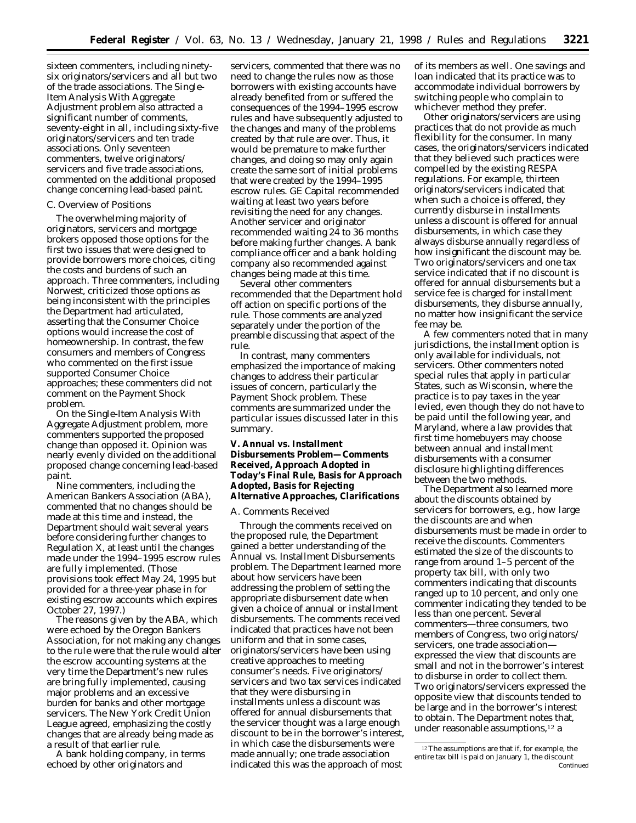sixteen commenters, including ninetysix originators/servicers and all but two of the trade associations. The Single-Item Analysis With Aggregate Adjustment problem also attracted a significant number of comments, seventy-eight in all, including sixty-five originators/servicers and ten trade associations. Only seventeen commenters, twelve originators/ servicers and five trade associations, commented on the additional proposed change concerning lead-based paint.

### *C. Overview of Positions*

The overwhelming majority of originators, servicers and mortgage brokers opposed those options for the first two issues that were designed to provide borrowers more choices, citing the costs and burdens of such an approach. Three commenters, including Norwest, criticized those options as being inconsistent with the principles the Department had articulated, asserting that the Consumer Choice options would increase the cost of homeownership. In contrast, the few consumers and members of Congress who commented on the first issue supported Consumer Choice approaches; these commenters did not comment on the Payment Shock problem.

On the Single-Item Analysis With Aggregate Adjustment problem, more commenters supported the proposed change than opposed it. Opinion was nearly evenly divided on the additional proposed change concerning lead-based paint.

Nine commenters, including the American Bankers Association (ABA), commented that no changes should be made at this time and instead, the Department should wait several years before considering further changes to Regulation X, at least until the changes made under the 1994–1995 escrow rules are fully implemented. (Those provisions took effect May 24, 1995 but provided for a three-year phase in for existing escrow accounts which expires October 27, 1997.)

The reasons given by the ABA, which were echoed by the Oregon Bankers Association, for not making any changes to the rule were that the rule would alter the escrow accounting systems at the very time the Department's new rules are bring fully implemented, causing major problems and an excessive burden for banks and other mortgage servicers. The New York Credit Union League agreed, emphasizing the costly changes that are already being made as a result of that earlier rule.

A bank holding company, in terms echoed by other originators and

servicers, commented that there was no need to change the rules now as those borrowers with existing accounts have already benefited from or suffered the consequences of the 1994–1995 escrow rules and have subsequently adjusted to the changes and many of the problems created by that rule are over. Thus, it would be premature to make further changes, and doing so may only again create the same sort of initial problems that were created by the 1994–1995 escrow rules. GE Capital recommended waiting at least two years before revisiting the need for any changes. Another servicer and originator recommended waiting 24 to 36 months before making further changes. A bank compliance officer and a bank holding company also recommended against changes being made at this time.

Several other commenters recommended that the Department hold off action on specific portions of the rule. Those comments are analyzed separately under the portion of the preamble discussing that aspect of the rule.

In contrast, many commenters emphasized the importance of making changes to address their particular issues of concern, particularly the Payment Shock problem. These comments are summarized under the particular issues discussed later in this summary.

# **V. Annual vs. Installment Disbursements Problem—Comments Received, Approach Adopted in Today's Final Rule, Basis for Approach Adopted, Basis for Rejecting Alternative Approaches, Clarifications**

### *A. Comments Received*

Through the comments received on the proposed rule, the Department gained a better understanding of the Annual vs. Installment Disbursements problem. The Department learned more about how servicers have been addressing the problem of setting the appropriate disbursement date when given a choice of annual or installment disbursements. The comments received indicated that practices have not been uniform and that in some cases, originators/servicers have been using creative approaches to meeting consumer's needs. Five originators/ servicers and two tax services indicated that they were disbursing in installments unless a discount was offered for annual disbursements that the servicer thought was a large enough discount to be in the borrower's interest, in which case the disbursements were made annually; one trade association indicated this was the approach of most

of its members as well. One savings and loan indicated that its practice was to accommodate individual borrowers by switching people who complain to whichever method they prefer.

Other originators/servicers are using practices that do not provide as much flexibility for the consumer. In many cases, the originators/servicers indicated that they believed such practices were compelled by the existing RESPA regulations. For example, thirteen originators/servicers indicated that when such a choice is offered, they currently disburse in installments unless a discount is offered for annual disbursements, in which case they always disburse annually regardless of how insignificant the discount may be. Two originators/servicers and one tax service indicated that if no discount is offered for annual disbursements but a service fee is charged for installment disbursements, they disburse annually, no matter how insignificant the service fee may be.

A few commenters noted that in many jurisdictions, the installment option is only available for individuals, not servicers. Other commenters noted special rules that apply in particular States, such as Wisconsin, where the practice is to pay taxes in the year levied, even though they do not have to be paid until the following year, and Maryland, where a law provides that first time homebuyers may choose between annual and installment disbursements with a consumer disclosure highlighting differences between the two methods.

The Department also learned more about the discounts obtained by servicers for borrowers, e.g., how large the discounts are and when disbursements must be made in order to receive the discounts. Commenters estimated the size of the discounts to range from around 1–5 percent of the property tax bill, with only two commenters indicating that discounts ranged up to 10 percent, and only one commenter indicating they tended to be less than one percent. Several commenters—three consumers, two members of Congress, two originators/ servicers, one trade association expressed the view that discounts are small and not in the borrower's interest to disburse in order to collect them. Two originators/servicers expressed the opposite view that discounts tended to be large and in the borrower's interest to obtain. The Department notes that, under reasonable assumptions,12 a

<sup>&</sup>lt;sup>12</sup>The assumptions are that if, for example, the entire tax bill is paid on January 1, the discount Continued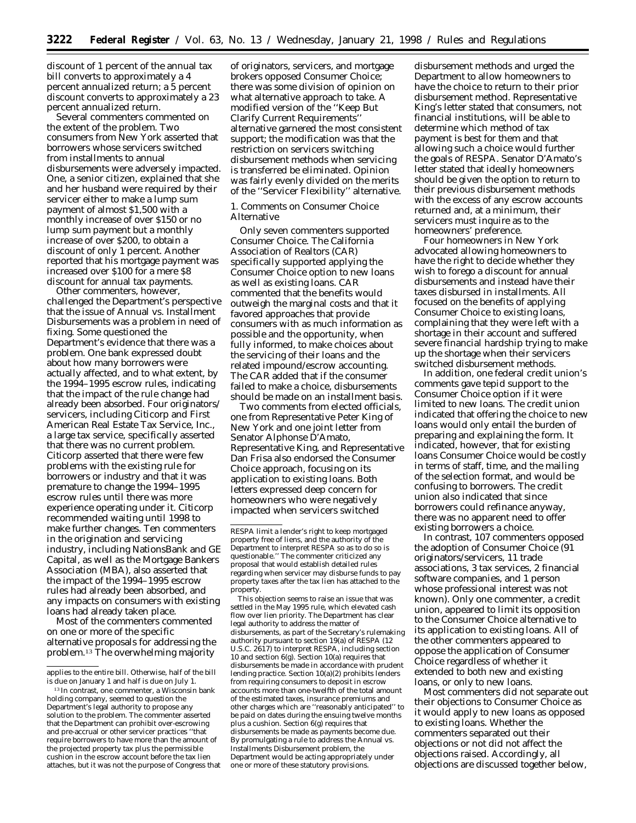discount of 1 percent of the annual tax bill converts to approximately a 4 percent annualized return; a 5 percent discount converts to approximately a 23 percent annualized return.

Several commenters commented on the extent of the problem. Two consumers from New York asserted that borrowers whose servicers switched from installments to annual disbursements were adversely impacted. One, a senior citizen, explained that she and her husband were required by their servicer either to make a lump sum payment of almost \$1,500 with a monthly increase of over \$150 or no lump sum payment but a monthly increase of over \$200, to obtain a discount of only 1 percent. Another reported that his mortgage payment was increased over \$100 for a mere \$8 discount for annual tax payments.

Other commenters, however, challenged the Department's perspective that the issue of Annual vs. Installment Disbursements was a problem in need of fixing. Some questioned the Department's evidence that there was a problem. One bank expressed doubt about how many borrowers were actually affected, and to what extent, by the 1994–1995 escrow rules, indicating that the impact of the rule change had already been absorbed. Four originators/ servicers, including Citicorp and First American Real Estate Tax Service, Inc., a large tax service, specifically asserted that there was no current problem. Citicorp asserted that there were few problems with the existing rule for borrowers or industry and that it was premature to change the 1994–1995 escrow rules until there was more experience operating under it. Citicorp recommended waiting until 1998 to make further changes. Ten commenters in the origination and servicing industry, including NationsBank and GE Capital, as well as the Mortgage Bankers Association (MBA), also asserted that the impact of the 1994–1995 escrow rules had already been absorbed, and any impacts on consumers with existing loans had already taken place.

Most of the commenters commented on one or more of the specific alternative proposals for addressing the problem.13 The overwhelming majority

of originators, servicers, and mortgage brokers opposed Consumer Choice; there was some division of opinion on what alternative approach to take. A modified version of the ''Keep But Clarify Current Requirements'' alternative garnered the most consistent support; the modification was that the restriction on servicers switching disbursement methods when servicing is transferred be eliminated. Opinion was fairly evenly divided on the merits of the ''Servicer Flexibility'' alternative.

1. Comments on Consumer Choice Alternative

Only seven commenters supported Consumer Choice. The California Association of Realtors (CAR) specifically supported applying the Consumer Choice option to new loans as well as existing loans. CAR commented that the benefits would outweigh the marginal costs and that it favored approaches that provide consumers with as much information as possible and the opportunity, when fully informed, to make choices about the servicing of their loans and the related impound/escrow accounting. The CAR added that if the consumer failed to make a choice, disbursements should be made on an installment basis.

Two comments from elected officials, one from Representative Peter King of New York and one joint letter from Senator Alphonse D'Amato, Representative King, and Representative Dan Frisa also endorsed the Consumer Choice approach, focusing on its application to existing loans. Both letters expressed deep concern for homeowners who were negatively impacted when servicers switched

This objection seems to raise an issue that was settled in the May 1995 rule, which elevated cash flow over lien priority. The Department has clear legal authority to address the matter of disbursements, as part of the Secretary's rulemaking authority pursuant to section 19(a) of RESPA (12 U.S.C. 2617) to interpret RESPA, including section 10 and section 6(g). Section 10(a) requires that disbursements be made in accordance with prudent lending practice. Section 10(a)(2) prohibits lenders from requiring consumers to deposit in escrow accounts more than one-twelfth of the total amount of the estimated taxes, insurance premiums and other charges which are ''reasonably anticipated'' to be paid on dates during the ensuing twelve months plus a cushion. Section 6(g) requires that disbursements be made as payments become due. By promulgating a rule to address the Annual vs. Installments Disbursement problem, the Department would be acting appropriately under one or more of these statutory provisions.

disbursement methods and urged the Department to allow homeowners to have the choice to return to their prior disbursement method. Representative King's letter stated that consumers, not financial institutions, will be able to determine which method of tax payment is best for them and that allowing such a choice would further the goals of RESPA. Senator D'Amato's letter stated that ideally homeowners should be given the option to return to their previous disbursement methods with the excess of any escrow accounts returned and, at a minimum, their servicers must inquire as to the homeowners' preference.

Four homeowners in New York advocated allowing homeowners to have the right to decide whether they wish to forego a discount for annual disbursements and instead have their taxes disbursed in installments. All focused on the benefits of applying Consumer Choice to existing loans, complaining that they were left with a shortage in their account and suffered severe financial hardship trying to make up the shortage when their servicers switched disbursement methods.

In addition, one federal credit union's comments gave tepid support to the Consumer Choice option if it were limited to new loans. The credit union indicated that offering the choice to new loans would only entail the burden of preparing and explaining the form. It indicated, however, that for existing loans Consumer Choice would be costly in terms of staff, time, and the mailing of the selection format, and would be confusing to borrowers. The credit union also indicated that since borrowers could refinance anyway, there was no apparent need to offer existing borrowers a choice.

In contrast, 107 commenters opposed the adoption of Consumer Choice (91 originators/servicers, 11 trade associations, 3 tax services, 2 financial software companies, and 1 person whose professional interest was not known). Only one commenter, a credit union, appeared to limit its opposition to the Consumer Choice alternative to its application to existing loans. All of the other commenters appeared to oppose the application of Consumer Choice regardless of whether it extended to both new and existing loans, or only to new loans.

Most commenters did not separate out their objections to Consumer Choice as it would apply to new loans as opposed to existing loans. Whether the commenters separated out their objections or not did not affect the objections raised. Accordingly, all objections are discussed together below,

applies to the entire bill. Otherwise, half of the bill is due on January 1 and half is due on July 1.

<sup>13</sup> In contrast, one commenter, a Wisconsin bank holding company, seemed to question the Department's legal authority to propose any solution to the problem. The commenter asserted that the Department can prohibit over-escrowing and pre-accrual or other servicer practices ''that require borrowers to have more than the amount of the projected property tax plus the permissible cushion in the escrow account before the tax lien attaches, but it was not the purpose of Congress that

RESPA limit a lender's right to keep mortgaged property free of liens, and the authority of the Department to interpret RESPA so as to do so is questionable.'' The commenter criticized any proposal that would establish detailed rules regarding when servicer may disburse funds to pay property taxes after the tax lien has attached to the property.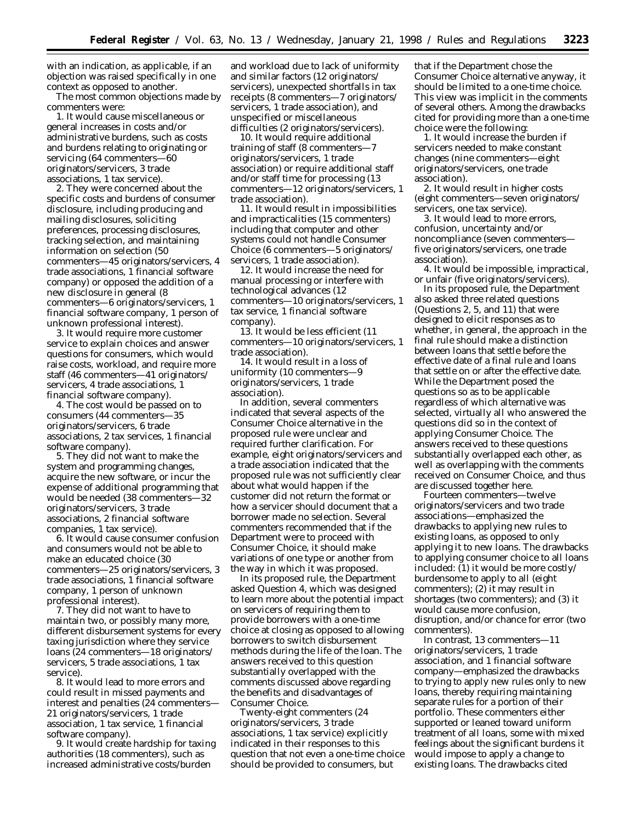with an indication, as applicable, if an objection was raised specifically in one context as opposed to another.

The most common objections made by commenters were:

1. It would cause miscellaneous or general increases in costs and/or administrative burdens, such as costs and burdens relating to originating or servicing (64 commenters—60 originators/servicers, 3 trade associations, 1 tax service).

2. They were concerned about the specific costs and burdens of consumer disclosure, including producing and mailing disclosures, soliciting preferences, processing disclosures, tracking selection, and maintaining information on selection (50 commenters—45 originators/servicers, 4 trade associations, 1 financial software company) or opposed the addition of a new disclosure in general (8 commenters—6 originators/servicers, 1 financial software company, 1 person of unknown professional interest).

3. It would require more customer service to explain choices and answer questions for consumers, which would raise costs, workload, and require more staff (46 commenters—41 originators/ servicers, 4 trade associations, 1 financial software company).

4. The cost would be passed on to consumers (44 commenters—35 originators/servicers, 6 trade associations, 2 tax services, 1 financial software company).

5. They did not want to make the system and programming changes, acquire the new software, or incur the expense of additional programming that would be needed (38 commenters—32 originators/servicers, 3 trade associations, 2 financial software companies, 1 tax service).

6. It would cause consumer confusion and consumers would not be able to make an educated choice (30 commenters—25 originators/servicers, 3 trade associations, 1 financial software company, 1 person of unknown professional interest).

7. They did not want to have to maintain two, or possibly many more, different disbursement systems for every taxing jurisdiction where they service loans (24 commenters—18 originators/ servicers, 5 trade associations, 1 tax service).

8. It would lead to more errors and could result in missed payments and interest and penalties (24 commenters— 21 originators/servicers, 1 trade association, 1 tax service, 1 financial software company).

9. It would create hardship for taxing authorities (18 commenters), such as increased administrative costs/burden

and workload due to lack of uniformity and similar factors (12 originators/ servicers), unexpected shortfalls in tax receipts (8 commenters—7 originators/ servicers, 1 trade association), and unspecified or miscellaneous difficulties (2 originators/servicers).

10. It would require additional training of staff (8 commenters—7 originators/servicers, 1 trade association) or require additional staff and/or staff time for processing (13 commenters—12 originators/servicers, 1 trade association).

11. It would result in impossibilities and impracticalities (15 commenters) including that computer and other systems could not handle Consumer Choice (6 commenters—5 originators/ servicers, 1 trade association).

12. It would increase the need for manual processing or interfere with technological advances (12 commenters—10 originators/servicers, 1 tax service, 1 financial software company).

13. It would be less efficient (11 commenters—10 originators/servicers, 1 trade association).

14. It would result in a loss of uniformity (10 commenters—9 originators/servicers, 1 trade association).

In addition, several commenters indicated that several aspects of the Consumer Choice alternative in the proposed rule were unclear and required further clarification. For example, eight originators/servicers and a trade association indicated that the proposed rule was not sufficiently clear about what would happen if the customer did not return the format or how a servicer should document that a borrower made no selection. Several commenters recommended that if the Department were to proceed with Consumer Choice, it should make variations of one type or another from the way in which it was proposed.

In its proposed rule, the Department asked Question 4, which was designed to learn more about the potential impact on servicers of requiring them to provide borrowers with a one-time choice at closing as opposed to allowing borrowers to switch disbursement methods during the life of the loan. The answers received to this question substantially overlapped with the comments discussed above regarding the benefits and disadvantages of Consumer Choice.

Twenty-eight commenters (24 originators/servicers, 3 trade associations, 1 tax service) explicitly indicated in their responses to this question that not even a one-time choice should be provided to consumers, but

that if the Department chose the Consumer Choice alternative anyway, it should be limited to a one-time choice. This view was implicit in the comments of several others. Among the drawbacks cited for providing more than a one-time choice were the following:

1. It would increase the burden if servicers needed to make constant changes (nine commenters—eight originators/servicers, one trade association).

2. It would result in higher costs (eight commenters—seven originators/ servicers, one tax service).

3. It would lead to more errors, confusion, uncertainty and/or noncompliance (seven commenters five originators/servicers, one trade association).

4. It would be impossible, impractical, or unfair (five originators/servicers).

In its proposed rule, the Department also asked three related questions (Questions 2, 5, and 11) that were designed to elicit responses as to whether, in general, the approach in the final rule should make a distinction between loans that settle before the effective date of a final rule and loans that settle on or after the effective date. While the Department posed the questions so as to be applicable regardless of which alternative was selected, virtually all who answered the questions did so in the context of applying Consumer Choice. The answers received to these questions substantially overlapped each other, as well as overlapping with the comments received on Consumer Choice, and thus are discussed together here.

Fourteen commenters—twelve originators/servicers and two trade associations—emphasized the drawbacks to applying new rules to existing loans, as opposed to only applying it to new loans. The drawbacks to applying consumer choice to all loans included: (1) it would be more costly/ burdensome to apply to all (eight commenters); (2) it may result in shortages (two commenters); and (3) it would cause more confusion, disruption, and/or chance for error (two commenters).

In contrast, 13 commenters—11 originators/servicers, 1 trade association, and 1 financial software company—emphasized the drawbacks to trying to apply new rules only to new loans, thereby requiring maintaining separate rules for a portion of their portfolio. These commenters either supported or leaned toward uniform treatment of all loans, some with mixed feelings about the significant burdens it would impose to apply a change to existing loans. The drawbacks cited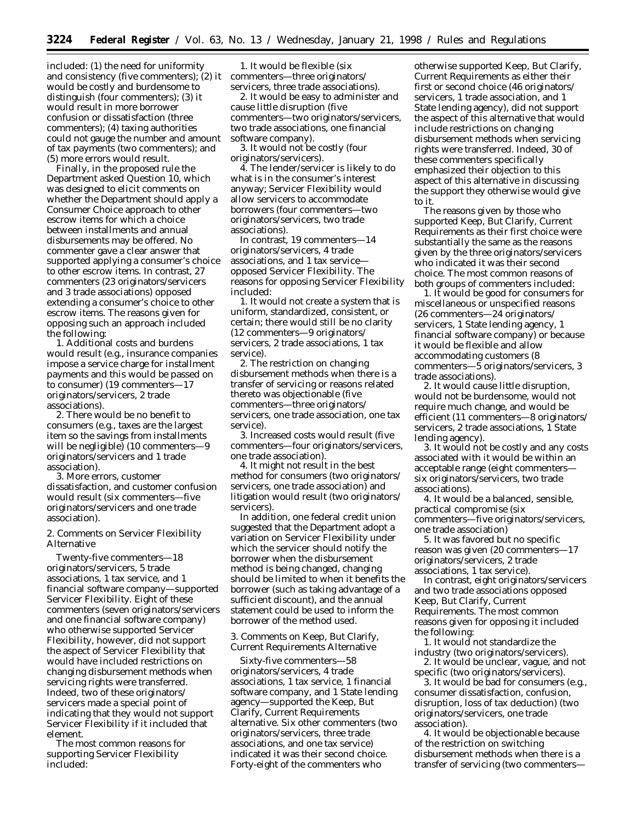included: (1) the need for uniformity and consistency (five commenters); (2) it would be costly and burdensome to distinguish (four commenters); (3) it would result in more borrower confusion or dissatisfaction (three commenters); (4) taxing authorities could not gauge the number and amount of tax payments (two commenters); and (5) more errors would result.

Finally, in the proposed rule the Department asked Question 10, which was designed to elicit comments on whether the Department should apply a Consumer Choice approach to other escrow items for which a choice between installments and annual disbursements may be offered. No commenter gave a clear answer that supported applying a consumer's choice to other escrow items. In contrast, 27 commenters (23 originators/servicers and 3 trade associations) opposed extending a consumer's choice to other escrow items. The reasons given for opposing such an approach included the following:

1. Additional costs and burdens would result (e.g., insurance companies impose a service charge for installment payments and this would be passed on to consumer) (19 commenters—17 originators/servicers, 2 trade associations).

2. There would be no benefit to consumers (e.g., taxes are the largest item so the savings from installments will be negligible) (10 commenters—9 originators/servicers and 1 trade association).

3. More errors, customer dissatisfaction, and customer confusion would result (six commenters—five originators/servicers and one trade association).

2. Comments on Servicer Flexibility Alternative

Twenty-five commenters—18 originators/servicers, 5 trade associations, 1 tax service, and 1 financial software company—supported Servicer Flexibility. Eight of these commenters (seven originators/servicers and one financial software company) who otherwise supported Servicer Flexibility, however, did not support the aspect of Servicer Flexibility that would have included restrictions on changing disbursement methods when servicing rights were transferred. Indeed, two of these originators/ servicers made a special point of indicating that they would not support Servicer Flexibility if it included that element.

The most common reasons for supporting Servicer Flexibility included:

1. It would be flexible (six commenters—three originators/ servicers, three trade associations).

2. It would be easy to administer and cause little disruption (five commenters—two originators/servicers, two trade associations, one financial software company).

3. It would not be costly (four originators/servicers).

4. The lender/servicer is likely to do what is in the consumer's interest anyway; Servicer Flexibility would allow servicers to accommodate borrowers (four commenters—two originators/servicers, two trade associations).

In contrast, 19 commenters—14 originators/servicers, 4 trade associations, and 1 tax service opposed Servicer Flexibility. The reasons for opposing Servicer Flexibility included:

1. It would not create a system that is uniform, standardized, consistent, or certain; there would still be no clarity (12 commenters—9 originators/ servicers, 2 trade associations, 1 tax service).

2. The restriction on changing disbursement methods when there is a transfer of servicing or reasons related thereto was objectionable (five commenters—three originators/ servicers, one trade association, one tax service).

3. Increased costs would result (five commenters—four originators/servicers, one trade association).

4. It might not result in the best method for consumers (two originators/ servicers, one trade association) and litigation would result (two originators/ servicers).

In addition, one federal credit union suggested that the Department adopt a variation on Servicer Flexibility under which the servicer should notify the borrower when the disbursement method is being changed, changing should be limited to when it benefits the borrower (such as taking advantage of a sufficient discount), and the annual statement could be used to inform the borrower of the method used.

3. Comments on Keep, But Clarify, Current Requirements Alternative

Sixty-five commenters—58 originators/servicers, 4 trade associations, 1 tax service, 1 financial software company, and 1 State lending agency—supported the Keep, But Clarify, Current Requirements alternative. Six other commenters (two originators/servicers, three trade associations, and one tax service) indicated it was their second choice. Forty-eight of the commenters who

otherwise supported Keep, But Clarify, Current Requirements as either their first or second choice (46 originators/ servicers, 1 trade association, and 1 State lending agency), did not support the aspect of this alternative that would include restrictions on changing disbursement methods when servicing rights were transferred. Indeed, 30 of these commenters specifically emphasized their objection to this aspect of this alternative in discussing the support they otherwise would give to it.

The reasons given by those who supported Keep, But Clarify, Current Requirements as their first choice were substantially the same as the reasons given by the three originators/servicers who indicated it was their second choice. The most common reasons of both groups of commenters included:

1. It would be good for consumers for miscellaneous or unspecified reasons (26 commenters—24 originators/ servicers, 1 State lending agency, 1 financial software company) or because it would be flexible and allow accommodating customers (8 commenters—5 originators/servicers, 3 trade associations).

2. It would cause little disruption, would not be burdensome, would not require much change, and would be efficient (11 commenters—8 originators/ servicers, 2 trade associations, 1 State lending agency).

3. It would not be costly and any costs associated with it would be within an acceptable range (eight commenters six originators/servicers, two trade associations).

4. It would be a balanced, sensible, practical compromise (six commenters—five originators/servicers, one trade association)

5. It was favored but no specific reason was given (20 commenters—17 originators/servicers, 2 trade associations, 1 tax service).

In contrast, eight originators/servicers and two trade associations opposed Keep, But Clarify, Current Requirements. The most common reasons given for opposing it included the following:

1. It would not standardize the industry (two originators/servicers).

2. It would be unclear, vague, and not specific (two originators/servicers).

3. It would be bad for consumers (e.g., consumer dissatisfaction, confusion, disruption, loss of tax deduction) (two originators/servicers, one trade association).

4. It would be objectionable because of the restriction on switching disbursement methods when there is a transfer of servicing (two commenters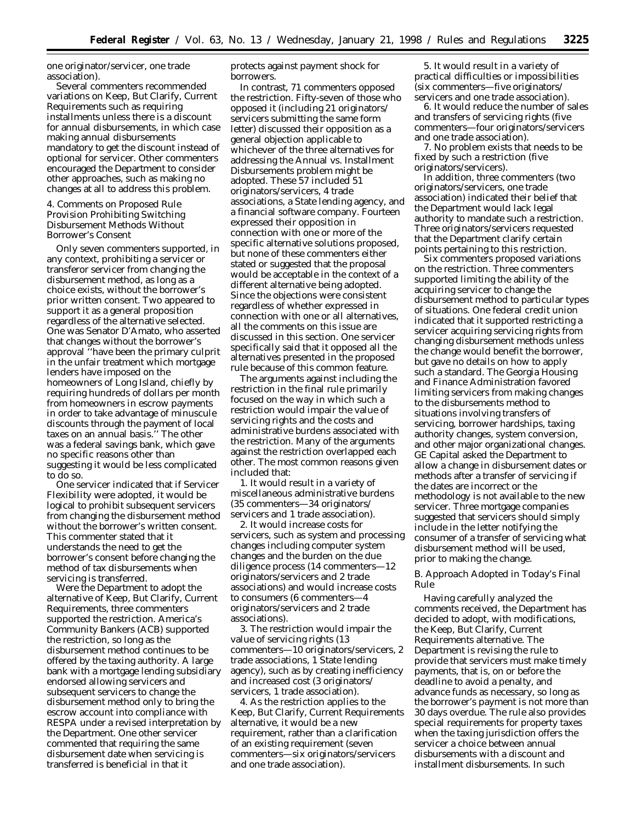one originator/servicer, one trade association).

Several commenters recommended variations on Keep, But Clarify, Current Requirements such as requiring installments unless there is a discount for annual disbursements, in which case making annual disbursements mandatory to get the discount instead of optional for servicer. Other commenters encouraged the Department to consider other approaches, such as making no changes at all to address this problem.

4. Comments on Proposed Rule Provision Prohibiting Switching Disbursement Methods Without Borrower's Consent

Only seven commenters supported, in any context, prohibiting a servicer or transferor servicer from changing the disbursement method, as long as a choice exists, without the borrower's prior written consent. Two appeared to support it as a general proposition regardless of the alternative selected. One was Senator D'Amato, who asserted that changes without the borrower's approval ''have been the primary culprit in the unfair treatment which mortgage lenders have imposed on the homeowners of Long Island, chiefly by requiring hundreds of dollars per month from homeowners in escrow payments in order to take advantage of minuscule discounts through the payment of local taxes on an annual basis.'' The other was a federal savings bank, which gave no specific reasons other than suggesting it would be less complicated to do so.

One servicer indicated that if Servicer Flexibility were adopted, it would be logical to prohibit subsequent servicers from changing the disbursement method without the borrower's written consent. This commenter stated that it understands the need to get the borrower's consent before changing the method of tax disbursements when servicing is transferred.

Were the Department to adopt the alternative of Keep, But Clarify, Current Requirements, three commenters supported the restriction. America's Community Bankers (ACB) supported the restriction, so long as the disbursement method continues to be offered by the taxing authority. A large bank with a mortgage lending subsidiary endorsed allowing servicers and subsequent servicers to change the disbursement method only to bring the escrow account into compliance with RESPA under a revised interpretation by the Department. One other servicer commented that requiring the same disbursement date when servicing is transferred is beneficial in that it

protects against payment shock for borrowers.

In contrast, 71 commenters opposed the restriction. Fifty-seven of those who opposed it (including 21 originators/ servicers submitting the same form letter) discussed their opposition as a general objection applicable to whichever of the three alternatives for addressing the Annual vs. Installment Disbursements problem might be adopted. These 57 included 51 originators/servicers, 4 trade associations, a State lending agency, and a financial software company. Fourteen expressed their opposition in connection with one or more of the specific alternative solutions proposed, but none of these commenters either stated or suggested that the proposal would be acceptable in the context of a different alternative being adopted. Since the objections were consistent regardless of whether expressed in connection with one or all alternatives, all the comments on this issue are discussed in this section. One servicer specifically said that it opposed all the alternatives presented in the proposed rule because of this common feature.

The arguments against including the restriction in the final rule primarily focused on the way in which such a restriction would impair the value of servicing rights and the costs and administrative burdens associated with the restriction. Many of the arguments against the restriction overlapped each other. The most common reasons given included that:

1. It would result in a variety of miscellaneous administrative burdens (35 commenters—34 originators/ servicers and 1 trade association).

2. It would increase costs for servicers, such as system and processing changes including computer system changes and the burden on the due diligence process (14 commenters—12 originators/servicers and 2 trade associations) and would increase costs to consumers (6 commenters—4 originators/servicers and 2 trade associations).

3. The restriction would impair the value of servicing rights (13 commenters—10 originators/servicers, 2 trade associations, 1 State lending agency), such as by creating inefficiency and increased cost (3 originators/ servicers, 1 trade association).

4. As the restriction applies to the Keep, But Clarify, Current Requirements alternative, it would be a new requirement, rather than a clarification of an existing requirement (seven commenters—six originators/servicers and one trade association).

5. It would result in a variety of practical difficulties or impossibilities (six commenters—five originators/ servicers and one trade association).

6. It would reduce the number of sales and transfers of servicing rights (five commenters—four originators/servicers and one trade association).

7. No problem exists that needs to be fixed by such a restriction (five originators/servicers).

In addition, three commenters (two originators/servicers, one trade association) indicated their belief that the Department would lack legal authority to mandate such a restriction. Three originators/servicers requested that the Department clarify certain points pertaining to this restriction.

Six commenters proposed variations on the restriction. Three commenters supported limiting the ability of the acquiring servicer to change the disbursement method to particular types of situations. One federal credit union indicated that it supported restricting a servicer acquiring servicing rights from changing disbursement methods unless the change would benefit the borrower, but gave no details on how to apply such a standard. The Georgia Housing and Finance Administration favored limiting servicers from making changes to the disbursements method to situations involving transfers of servicing, borrower hardships, taxing authority changes, system conversion, and other major organizational changes. GE Capital asked the Department to allow a change in disbursement dates or methods after a transfer of servicing if the dates are incorrect or the methodology is not available to the new servicer. Three mortgage companies suggested that servicers should simply include in the letter notifying the consumer of a transfer of servicing what disbursement method will be used, prior to making the change.

### *B. Approach Adopted in Today's Final Rule*

Having carefully analyzed the comments received, the Department has decided to adopt, with modifications, the Keep, But Clarify, Current Requirements alternative. The Department is revising the rule to provide that servicers must make timely payments, that is, on or before the deadline to avoid a penalty, and advance funds as necessary, so long as the borrower's payment is not more than 30 days overdue. The rule also provides special requirements for property taxes when the taxing jurisdiction offers the servicer a choice between annual disbursements with a discount and installment disbursements. In such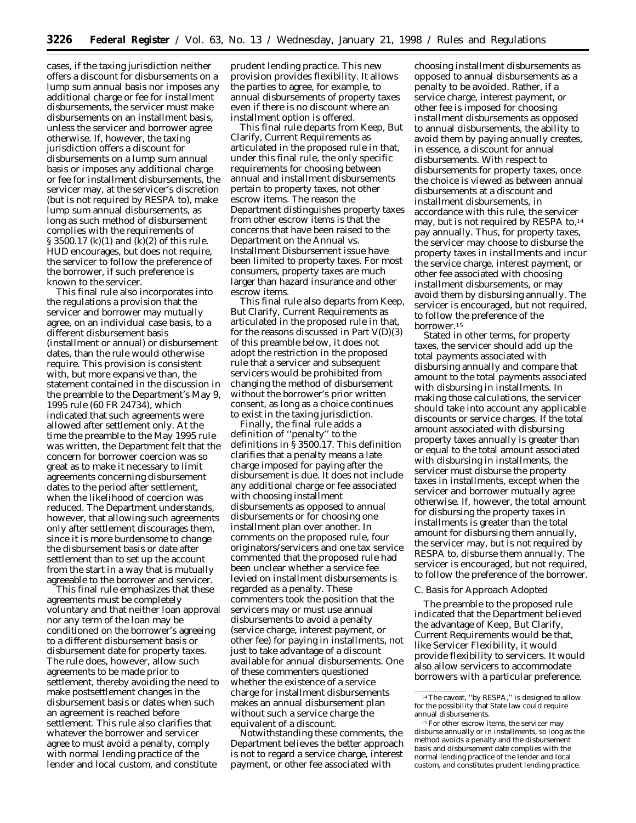cases, if the taxing jurisdiction neither offers a discount for disbursements on a lump sum annual basis nor imposes any additional charge or fee for installment disbursements, the servicer must make disbursements on an installment basis, unless the servicer and borrower agree otherwise. If, however, the taxing jurisdiction offers a discount for disbursements on a lump sum annual basis or imposes any additional charge or fee for installment disbursements, the servicer may, at the servicer's discretion (but is not required by RESPA to), make lump sum annual disbursements, as long as such method of disbursement complies with the requirements of § 3500.17 (k)(1) and (k)(2) of this rule. HUD encourages, but does not require, the servicer to follow the preference of the borrower, if such preference is known to the servicer.

This final rule also incorporates into the regulations a provision that the servicer and borrower may mutually agree, on an individual case basis, to a different disbursement basis (installment or annual) or disbursement dates, than the rule would otherwise require. This provision is consistent with, but more expansive than, the statement contained in the discussion in the preamble to the Department's May 9, 1995 rule (60 FR 24734), which indicated that such agreements were allowed after settlement only. At the time the preamble to the May 1995 rule was written, the Department felt that the concern for borrower coercion was so great as to make it necessary to limit agreements concerning disbursement dates to the period after settlement, when the likelihood of coercion was reduced. The Department understands, however, that allowing such agreements only after settlement discourages them, since it is more burdensome to change the disbursement basis or date after settlement than to set up the account from the start in a way that is mutually agreeable to the borrower and servicer.

This final rule emphasizes that these agreements must be completely voluntary and that neither loan approval nor any term of the loan may be conditioned on the borrower's agreeing to a different disbursement basis or disbursement date for property taxes. The rule does, however, allow such agreements to be made prior to settlement, thereby avoiding the need to make postsettlement changes in the disbursement basis or dates when such an agreement is reached before settlement. This rule also clarifies that whatever the borrower and servicer agree to must avoid a penalty, comply with normal lending practice of the lender and local custom, and constitute

prudent lending practice. This new provision provides flexibility. It allows the parties to agree, for example, to annual disbursements of property taxes even if there is no discount where an installment option is offered.

This final rule departs from Keep, But Clarify, Current Requirements as articulated in the proposed rule in that, under this final rule, the only specific requirements for choosing between annual and installment disbursements pertain to property taxes, not other escrow items. The reason the Department distinguishes property taxes from other escrow items is that the concerns that have been raised to the Department on the Annual vs. Installment Disbursement issue have been limited to property taxes. For most consumers, property taxes are much larger than hazard insurance and other escrow items.

This final rule also departs from Keep, But Clarify, Current Requirements as articulated in the proposed rule in that, for the reasons discussed in Part  $V(D)(3)$ of this preamble below, it does not adopt the restriction in the proposed rule that a servicer and subsequent servicers would be prohibited from changing the method of disbursement without the borrower's prior written consent, as long as a choice continues to exist in the taxing jurisdiction.

Finally, the final rule adds a definition of ''penalty'' to the definitions in § 3500.17. This definition clarifies that a penalty means a late charge imposed for paying after the disbursement is due. It does not include any additional charge or fee associated with choosing installment disbursements as opposed to annual disbursements or for choosing one installment plan over another. In comments on the proposed rule, four originators/servicers and one tax service commented that the proposed rule had been unclear whether a service fee levied on installment disbursements is regarded as a penalty. These commenters took the position that the servicers may or must use annual disbursements to avoid a penalty (service charge, interest payment, or other fee) for paying in installments, not just to take advantage of a discount available for annual disbursements. One of these commenters questioned whether the existence of a service charge for installment disbursements makes an annual disbursement plan without such a service charge the equivalent of a discount.

Notwithstanding these comments, the Department believes the better approach is not to regard a service charge, interest payment, or other fee associated with

choosing installment disbursements as opposed to annual disbursements as a penalty to be avoided. Rather, if a service charge, interest payment, or other fee is imposed for choosing installment disbursements as opposed to annual disbursements, the ability to avoid them by paying annually creates, in essence, a discount for annual disbursements. With respect to disbursements for property taxes, once the choice is viewed as between annual disbursements at a discount and installment disbursements, in accordance with this rule, the servicer may, but is not required by RESPA to,14 pay annually. Thus, for property taxes, the servicer may choose to disburse the property taxes in installments and incur the service charge, interest payment, or other fee associated with choosing installment disbursements, or may avoid them by disbursing annually. The servicer is encouraged, but not required, to follow the preference of the borrower.15

Stated in other terms, for property taxes, the servicer should add up the total payments associated with disbursing annually and compare that amount to the total payments associated with disbursing in installments. In making those calculations, the servicer should take into account any applicable discounts or service charges. If the total amount associated with disbursing property taxes annually is greater than or equal to the total amount associated with disbursing in installments, the servicer must disburse the property taxes in installments, except when the servicer and borrower mutually agree otherwise. If, however, the total amount for disbursing the property taxes in installments is greater than the total amount for disbursing them annually, the servicer may, but is not required by RESPA to, disburse them annually. The servicer is encouraged, but not required, to follow the preference of the borrower.

#### *C. Basis for Approach Adopted*

The preamble to the proposed rule indicated that the Department believed the advantage of Keep, But Clarify, Current Requirements would be that, like Servicer Flexibility, it would provide flexibility to servicers. It would also allow servicers to accommodate borrowers with a particular preference.

 $14$  The caveat, "by RESPA," is designed to allow for the possibility that State law could require annual disbursements.

<sup>&</sup>lt;sup>15</sup> For other escrow items, the servicer may disburse annually or in installments, so long as the method avoids a penalty and the disbursement basis and disbursement date complies with the normal lending practice of the lender and local custom, and constitutes prudent lending practice.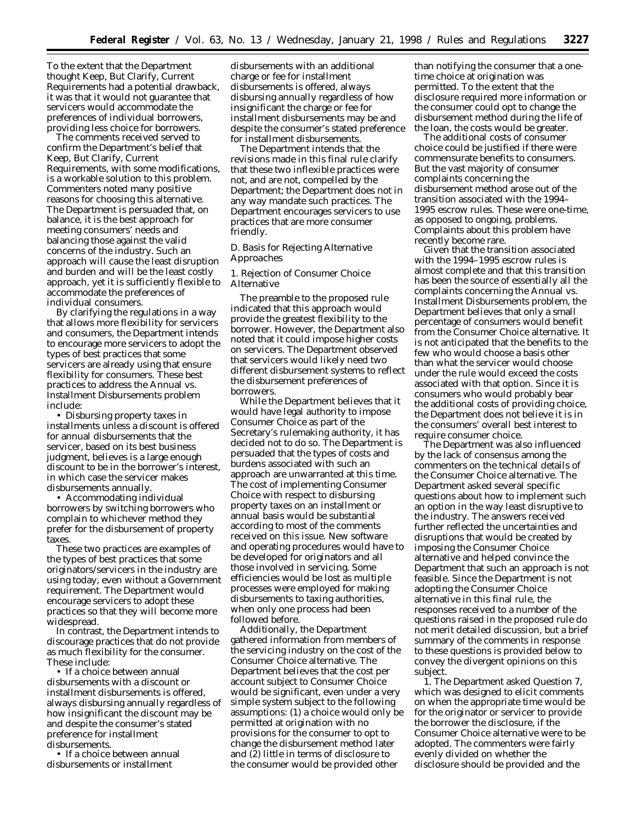To the extent that the Department thought Keep, But Clarify, Current Requirements had a potential drawback, it was that it would not guarantee that servicers would accommodate the preferences of individual borrowers, providing less choice for borrowers.

The comments received served to confirm the Department's belief that Keep, But Clarify, Current Requirements, with some modifications, is a workable solution to this problem. Commenters noted many positive reasons for choosing this alternative. The Department is persuaded that, on balance, it is the best approach for meeting consumers' needs and balancing those against the valid concerns of the industry. Such an approach will cause the least disruption and burden and will be the least costly approach, yet it is sufficiently flexible to accommodate the preferences of individual consumers.

By clarifying the regulations in a way that allows more flexibility for servicers and consumers, the Department intends to encourage more servicers to adopt the types of best practices that some servicers are already using that ensure flexibility for consumers. These best practices to address the Annual vs. Installment Disbursements problem include:

• Disbursing property taxes in installments unless a discount is offered for annual disbursements that the servicer, based on its best business judgment, believes is a large enough discount to be in the borrower's interest, in which case the servicer makes disbursements annually.

• Accommodating individual borrowers by switching borrowers who complain to whichever method they prefer for the disbursement of property taxes.

These two practices are examples of the types of best practices that some originators/servicers in the industry are using today, even without a Government requirement. The Department would encourage servicers to adopt these practices so that they will become more widespread.

In contrast, the Department intends to discourage practices that do not provide as much flexibility for the consumer. These include:

• If a choice between annual disbursements with a discount or installment disbursements is offered, always disbursing annually regardless of how insignificant the discount may be and despite the consumer's stated preference for installment disbursements.

• If a choice between annual disbursements or installment

disbursements with an additional charge or fee for installment disbursements is offered, always disbursing annually regardless of how insignificant the charge or fee for installment disbursements may be and despite the consumer's stated preference for installment disbursements.

The Department intends that the revisions made in this final rule clarify that these two inflexible practices were not, and are not, compelled by the Department; the Department does not in any way mandate such practices. The Department encourages servicers to use practices that are more consumer friendly.

### *D. Basis for Rejecting Alternative Approaches*

### 1. Rejection of Consumer Choice Alternative

The preamble to the proposed rule indicated that this approach would provide the greatest flexibility to the borrower. However, the Department also noted that it could impose higher costs on servicers. The Department observed that servicers would likely need two different disbursement systems to reflect the disbursement preferences of borrowers.

While the Department believes that it would have legal authority to impose Consumer Choice as part of the Secretary's rulemaking authority, it has decided not to do so. The Department is persuaded that the types of costs and burdens associated with such an approach are unwarranted at this time. The cost of implementing Consumer Choice with respect to disbursing property taxes on an installment or annual basis would be substantial according to most of the comments received on this issue. New software and operating procedures would have to be developed for originators and all those involved in servicing. Some efficiencies would be lost as multiple processes were employed for making disbursements to taxing authorities, when only one process had been followed before.

Additionally, the Department gathered information from members of the servicing industry on the cost of the Consumer Choice alternative. The Department believes that the cost per account subject to Consumer Choice would be significant, even under a very simple system subject to the following assumptions: (1) a choice would only be permitted at origination with no provisions for the consumer to opt to change the disbursement method later and (2) little in terms of disclosure to the consumer would be provided other

than notifying the consumer that a onetime choice at origination was permitted. To the extent that the disclosure required more information or the consumer could opt to change the disbursement method during the life of the loan, the costs would be greater.

The additional costs of consumer choice could be justified if there were commensurate benefits to consumers. But the vast majority of consumer complaints concerning the disbursement method arose out of the transition associated with the 1994– 1995 escrow rules. These were one-time, as opposed to ongoing, problems. Complaints about this problem have recently become rare.

Given that the transition associated with the 1994–1995 escrow rules is almost complete and that this transition has been the source of essentially all the complaints concerning the Annual vs. Installment Disbursements problem, the Department believes that only a small percentage of consumers would benefit from the Consumer Choice alternative. It is not anticipated that the benefits to the few who would choose a basis other than what the servicer would choose under the rule would exceed the costs associated with that option. Since it is consumers who would probably bear the additional costs of providing choice, the Department does not believe it is in the consumers' overall best interest to require consumer choice.

The Department was also influenced by the lack of consensus among the commenters on the technical details of the Consumer Choice alternative. The Department asked several specific questions about how to implement such an option in the way least disruptive to the industry. The answers received further reflected the uncertainties and disruptions that would be created by imposing the Consumer Choice alternative and helped convince the Department that such an approach is not feasible. Since the Department is not adopting the Consumer Choice alternative in this final rule, the responses received to a number of the questions raised in the proposed rule do not merit detailed discussion, but a brief summary of the comments in response to these questions is provided below to convey the divergent opinions on this subject.

1. The Department asked Question 7, which was designed to elicit comments on when the appropriate time would be for the originator or servicer to provide the borrower the disclosure, if the Consumer Choice alternative were to be adopted. The commenters were fairly evenly divided on whether the disclosure should be provided and the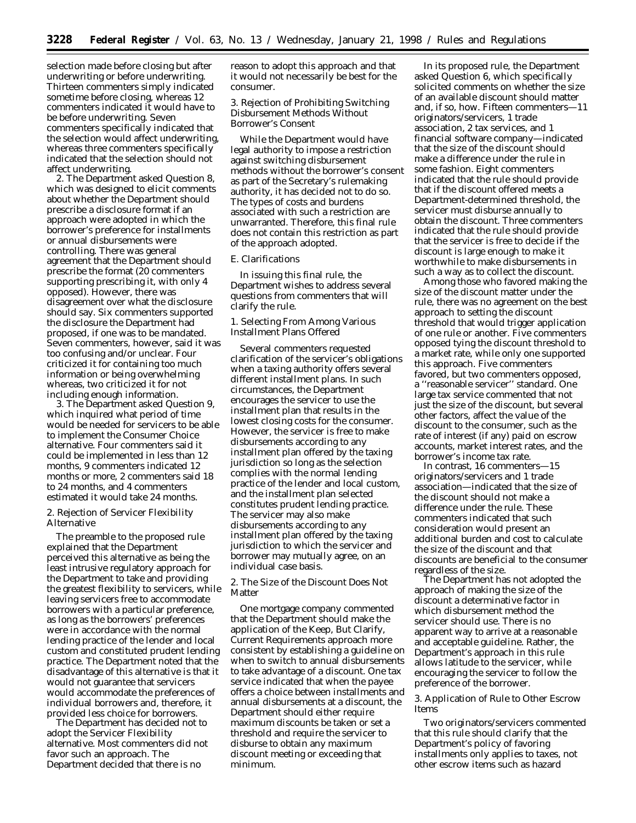selection made before closing but after underwriting or before underwriting. Thirteen commenters simply indicated sometime before closing, whereas 12 commenters indicated it would have to be before underwriting. Seven commenters specifically indicated that the selection would affect underwriting, whereas three commenters specifically indicated that the selection should not affect underwriting.

2. The Department asked Question 8, which was designed to elicit comments about whether the Department should prescribe a disclosure format if an approach were adopted in which the borrower's preference for installments or annual disbursements were controlling. There was general agreement that the Department should prescribe the format (20 commenters supporting prescribing it, with only 4 opposed). However, there was disagreement over what the disclosure should say. Six commenters supported the disclosure the Department had proposed, if one was to be mandated. Seven commenters, however, said it was too confusing and/or unclear. Four criticized it for containing too much information or being overwhelming whereas, two criticized it for not including enough information.

3. The Department asked Question 9, which inquired what period of time would be needed for servicers to be able to implement the Consumer Choice alternative. Four commenters said it could be implemented in less than 12 months, 9 commenters indicated 12 months or more, 2 commenters said 18 to 24 months, and 4 commenters estimated it would take 24 months.

### 2. Rejection of Servicer Flexibility Alternative

The preamble to the proposed rule explained that the Department perceived this alternative as being the least intrusive regulatory approach for the Department to take and providing the greatest flexibility to servicers, while leaving servicers free to accommodate borrowers with a particular preference, as long as the borrowers' preferences were in accordance with the normal lending practice of the lender and local custom and constituted prudent lending practice. The Department noted that the disadvantage of this alternative is that it would not guarantee that servicers would accommodate the preferences of individual borrowers and, therefore, it provided less choice for borrowers.

The Department has decided not to adopt the Servicer Flexibility alternative. Most commenters did not favor such an approach. The Department decided that there is no

reason to adopt this approach and that it would not necessarily be best for the consumer.

# 3. Rejection of Prohibiting Switching Disbursement Methods Without Borrower's Consent

While the Department would have legal authority to impose a restriction against switching disbursement methods without the borrower's consent as part of the Secretary's rulemaking authority, it has decided not to do so. The types of costs and burdens associated with such a restriction are unwarranted. Therefore, this final rule does not contain this restriction as part of the approach adopted.

#### *E. Clarifications*

In issuing this final rule, the Department wishes to address several questions from commenters that will clarify the rule.

1. Selecting From Among Various Installment Plans Offered

Several commenters requested clarification of the servicer's obligations when a taxing authority offers several different installment plans. In such circumstances, the Department encourages the servicer to use the installment plan that results in the lowest closing costs for the consumer. However, the servicer is free to make disbursements according to any installment plan offered by the taxing jurisdiction so long as the selection complies with the normal lending practice of the lender and local custom, and the installment plan selected constitutes prudent lending practice. The servicer may also make disbursements according to any installment plan offered by the taxing jurisdiction to which the servicer and borrower may mutually agree, on an individual case basis.

2. The Size of the Discount Does Not Matter

One mortgage company commented that the Department should make the application of the Keep, But Clarify, Current Requirements approach more consistent by establishing a guideline on when to switch to annual disbursements to take advantage of a discount. One tax service indicated that when the payee offers a choice between installments and annual disbursements at a discount, the Department should either require maximum discounts be taken or set a threshold and require the servicer to disburse to obtain any maximum discount meeting or exceeding that minimum.

In its proposed rule, the Department asked Question 6, which specifically solicited comments on whether the size of an available discount should matter and, if so, how. Fifteen commenters—11 originators/servicers, 1 trade association, 2 tax services, and 1 financial software company—indicated that the size of the discount should make a difference under the rule in some fashion. Eight commenters indicated that the rule should provide that if the discount offered meets a Department-determined threshold, the servicer must disburse annually to obtain the discount. Three commenters indicated that the rule should provide that the servicer is free to decide if the discount is large enough to make it worthwhile to make disbursements in such a way as to collect the discount.

Among those who favored making the size of the discount matter under the rule, there was no agreement on the best approach to setting the discount threshold that would trigger application of one rule or another. Five commenters opposed tying the discount threshold to a market rate, while only one supported this approach. Five commenters favored, but two commenters opposed, a ''reasonable servicer'' standard. One large tax service commented that not just the size of the discount, but several other factors, affect the value of the discount to the consumer, such as the rate of interest (if any) paid on escrow accounts, market interest rates, and the borrower's income tax rate.

In contrast, 16 commenters—15 originators/servicers and 1 trade association—indicated that the size of the discount should not make a difference under the rule. These commenters indicated that such consideration would present an additional burden and cost to calculate the size of the discount and that discounts are beneficial to the consumer regardless of the size.

The Department has not adopted the approach of making the size of the discount a determinative factor in which disbursement method the servicer should use. There is no apparent way to arrive at a reasonable and acceptable guideline. Rather, the Department's approach in this rule allows latitude to the servicer, while encouraging the servicer to follow the preference of the borrower.

### 3. Application of Rule to Other Escrow Items

Two originators/servicers commented that this rule should clarify that the Department's policy of favoring installments only applies to taxes, not other escrow items such as hazard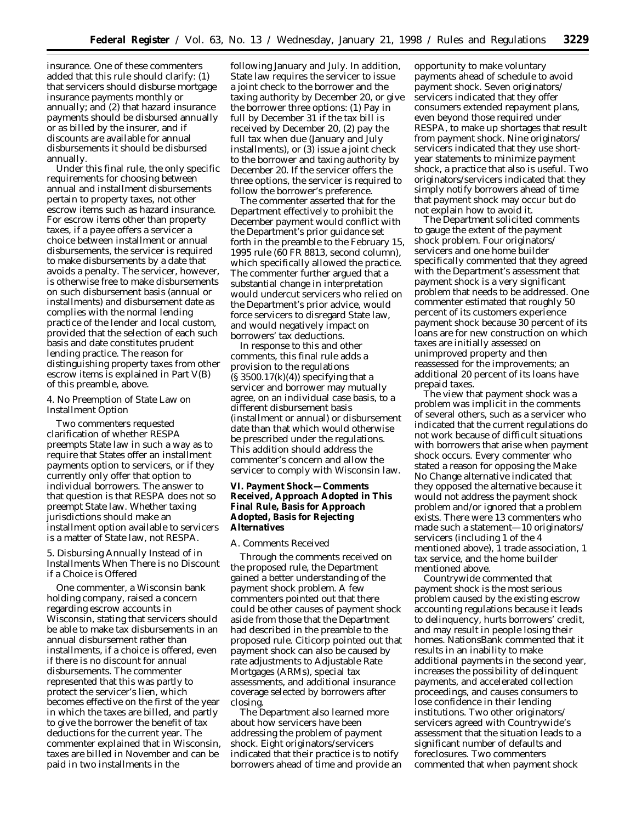insurance. One of these commenters added that this rule should clarify: (1) that servicers should disburse mortgage insurance payments monthly or annually; and (2) that hazard insurance payments should be disbursed annually or as billed by the insurer, and if discounts are available for annual disbursements it should be disbursed annually.

Under this final rule, the only specific requirements for choosing between annual and installment disbursements pertain to property taxes, not other escrow items such as hazard insurance. For escrow items other than property taxes, if a payee offers a servicer a choice between installment or annual disbursements, the servicer is required to make disbursements by a date that avoids a penalty. The servicer, however, is otherwise free to make disbursements on such disbursement basis (annual or installments) and disbursement date as complies with the normal lending practice of the lender and local custom, provided that the selection of each such basis and date constitutes prudent lending practice. The reason for distinguishing property taxes from other escrow items is explained in Part V(B) of this preamble, above.

# 4. No Preemption of State Law on Installment Option

Two commenters requested clarification of whether RESPA preempts State law in such a way as to require that States offer an installment payments option to servicers, or if they currently only offer that option to individual borrowers. The answer to that question is that RESPA does not so preempt State law. Whether taxing jurisdictions should make an installment option available to servicers is a matter of State law, not RESPA.

5. Disbursing Annually Instead of in Installments When There is no Discount if a Choice is Offered

One commenter, a Wisconsin bank holding company, raised a concern regarding escrow accounts in Wisconsin, stating that servicers should be able to make tax disbursements in an annual disbursement rather than installments, if a choice is offered, even if there is no discount for annual disbursements. The commenter represented that this was partly to protect the servicer's lien, which becomes effective on the first of the year in which the taxes are billed, and partly to give the borrower the benefit of tax deductions for the current year. The commenter explained that in Wisconsin, taxes are billed in November and can be paid in two installments in the

following January and July. In addition, State law requires the servicer to issue a joint check to the borrower and the taxing authority by December 20, or give the borrower three options: (1) Pay in full by December 31 if the tax bill is received by December 20, (2) pay the full tax when due (January and July installments), or (3) issue a joint check to the borrower and taxing authority by December 20. If the servicer offers the three options, the servicer is required to follow the borrower's preference.

The commenter asserted that for the Department effectively to prohibit the December payment would conflict with the Department's prior guidance set forth in the preamble to the February 15, 1995 rule (60 FR 8813, second column), which specifically allowed the practice. The commenter further argued that a substantial change in interpretation would undercut servicers who relied on the Department's prior advice, would force servicers to disregard State law, and would negatively impact on borrowers' tax deductions.

In response to this and other comments, this final rule adds a provision to the regulations  $(S 3500.17(k)(4))$  specifying that a servicer and borrower may mutually agree, on an individual case basis, to a different disbursement basis (installment or annual) or disbursement date than that which would otherwise be prescribed under the regulations. This addition should address the commenter's concern and allow the servicer to comply with Wisconsin law.

# **VI. Payment Shock—Comments Received, Approach Adopted in This Final Rule, Basis for Approach Adopted, Basis for Rejecting Alternatives**

## *A. Comments Received*

Through the comments received on the proposed rule, the Department gained a better understanding of the payment shock problem. A few commenters pointed out that there could be other causes of payment shock aside from those that the Department had described in the preamble to the proposed rule. Citicorp pointed out that payment shock can also be caused by rate adjustments to Adjustable Rate Mortgages (ARMs), special tax assessments, and additional insurance coverage selected by borrowers after closing.

The Department also learned more about how servicers have been addressing the problem of payment shock. Eight originators/servicers indicated that their practice is to notify borrowers ahead of time and provide an opportunity to make voluntary payments ahead of schedule to avoid payment shock. Seven originators/ servicers indicated that they offer consumers extended repayment plans, even beyond those required under RESPA, to make up shortages that result from payment shock. Nine originators/ servicers indicated that they use shortyear statements to minimize payment shock, a practice that also is useful. Two originators/servicers indicated that they simply notify borrowers ahead of time that payment shock may occur but do not explain how to avoid it.

The Department solicited comments to gauge the extent of the payment shock problem. Four originators/ servicers and one home builder specifically commented that they agreed with the Department's assessment that payment shock is a very significant problem that needs to be addressed. One commenter estimated that roughly 50 percent of its customers experience payment shock because 30 percent of its loans are for new construction on which taxes are initially assessed on unimproved property and then reassessed for the improvements; an additional 20 percent of its loans have prepaid taxes.

The view that payment shock was a problem was implicit in the comments of several others, such as a servicer who indicated that the current regulations do not work because of difficult situations with borrowers that arise when payment shock occurs. Every commenter who stated a reason for opposing the Make No Change alternative indicated that they opposed the alternative because it would not address the payment shock problem and/or ignored that a problem exists. There were 13 commenters who made such a statement—10 originators/ servicers (including 1 of the 4 mentioned above), 1 trade association, 1 tax service, and the home builder mentioned above.

Countrywide commented that payment shock is the most serious problem caused by the existing escrow accounting regulations because it leads to delinquency, hurts borrowers' credit, and may result in people losing their homes. NationsBank commented that it results in an inability to make additional payments in the second year, increases the possibility of delinquent payments, and accelerated collection proceedings, and causes consumers to lose confidence in their lending institutions. Two other originators/ servicers agreed with Countrywide's assessment that the situation leads to a significant number of defaults and foreclosures. Two commenters commented that when payment shock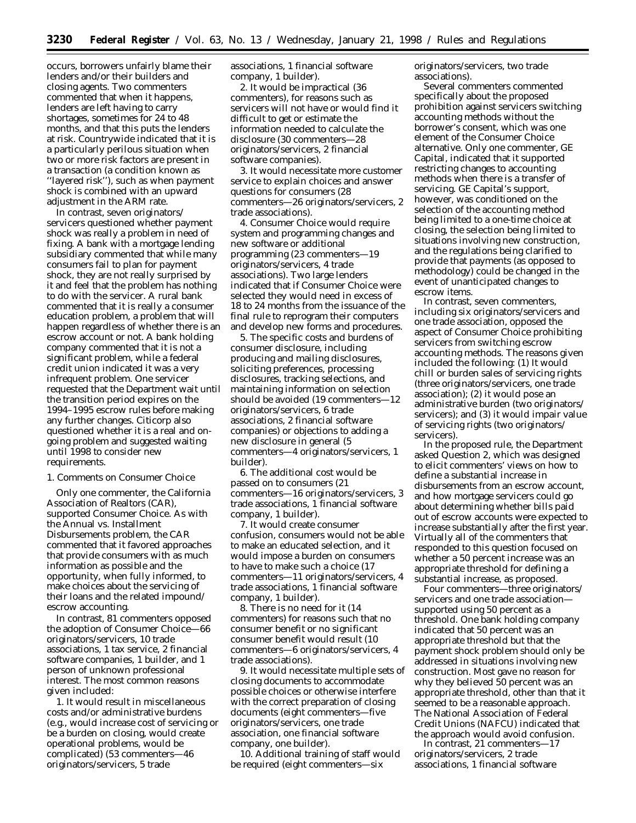occurs, borrowers unfairly blame their lenders and/or their builders and closing agents. Two commenters commented that when it happens, lenders are left having to carry shortages, sometimes for 24 to 48 months, and that this puts the lenders at risk. Countrywide indicated that it is a particularly perilous situation when two or more risk factors are present in a transaction (a condition known as ''layered risk''), such as when payment shock is combined with an upward adjustment in the ARM rate.

In contrast, seven originators/ servicers questioned whether payment shock was really a problem in need of fixing. A bank with a mortgage lending subsidiary commented that while many consumers fail to plan for payment shock, they are not really surprised by it and feel that the problem has nothing to do with the servicer. A rural bank commented that it is really a consumer education problem, a problem that will happen regardless of whether there is an escrow account or not. A bank holding company commented that it is not a significant problem, while a federal credit union indicated it was a very infrequent problem. One servicer requested that the Department wait until the transition period expires on the 1994–1995 escrow rules before making any further changes. Citicorp also questioned whether it is a real and ongoing problem and suggested waiting until 1998 to consider new requirements.

1. Comments on Consumer Choice

Only one commenter, the California Association of Realtors (CAR), supported Consumer Choice. As with the Annual vs. Installment Disbursements problem, the CAR commented that it favored approaches that provide consumers with as much information as possible and the opportunity, when fully informed, to make choices about the servicing of their loans and the related impound/ escrow accounting.

In contrast, 81 commenters opposed the adoption of Consumer Choice—66 originators/servicers, 10 trade associations, 1 tax service, 2 financial software companies, 1 builder, and 1 person of unknown professional interest. The most common reasons given included:

1. It would result in miscellaneous costs and/or administrative burdens (e.g., would increase cost of servicing or be a burden on closing, would create operational problems, would be complicated) (53 commenters—46 originators/servicers, 5 trade

associations, 1 financial software company, 1 builder).

2. It would be impractical (36 commenters), for reasons such as servicers will not have or would find it difficult to get or estimate the information needed to calculate the disclosure (30 commenters—28 originators/servicers, 2 financial software companies).

3. It would necessitate more customer service to explain choices and answer questions for consumers (28 commenters—26 originators/servicers, 2 trade associations).

4. Consumer Choice would require system and programming changes and new software or additional programming (23 commenters—19 originators/servicers, 4 trade associations). Two large lenders indicated that if Consumer Choice were selected they would need in excess of 18 to 24 months from the issuance of the final rule to reprogram their computers and develop new forms and procedures.

5. The specific costs and burdens of consumer disclosure, including producing and mailing disclosures, soliciting preferences, processing disclosures, tracking selections, and maintaining information on selection should be avoided (19 commenters—12 originators/servicers, 6 trade associations, 2 financial software companies) or objections to adding a new disclosure in general (5 commenters—4 originators/servicers, 1 builder).

6. The additional cost would be passed on to consumers (21 commenters—16 originators/servicers, 3 trade associations, 1 financial software company, 1 builder).

7. It would create consumer confusion, consumers would not be able to make an educated selection, and it would impose a burden on consumers to have to make such a choice (17 commenters—11 originators/servicers, 4 trade associations, 1 financial software company, 1 builder).

8. There is no need for it (14 commenters) for reasons such that no consumer benefit or no significant consumer benefit would result (10 commenters—6 originators/servicers, 4 trade associations).

9. It would necessitate multiple sets of closing documents to accommodate possible choices or otherwise interfere with the correct preparation of closing documents (eight commenters—five originators/servicers, one trade association, one financial software company, one builder).

10. Additional training of staff would be required (eight commenters—six

originators/servicers, two trade associations).

Several commenters commented specifically about the proposed prohibition against servicers switching accounting methods without the borrower's consent, which was one element of the Consumer Choice alternative. Only one commenter, GE Capital, indicated that it supported restricting changes to accounting methods when there is a transfer of servicing. GE Capital's support, however, was conditioned on the selection of the accounting method being limited to a one-time choice at closing, the selection being limited to situations involving new construction, and the regulations being clarified to provide that payments (as opposed to methodology) could be changed in the event of unanticipated changes to escrow items.

In contrast, seven commenters, including six originators/servicers and one trade association, opposed the aspect of Consumer Choice prohibiting servicers from switching escrow accounting methods. The reasons given included the following: (1) It would chill or burden sales of servicing rights (three originators/servicers, one trade association); (2) it would pose an administrative burden (two originators/ servicers); and (3) it would impair value of servicing rights (two originators/ servicers).

In the proposed rule, the Department asked Question 2, which was designed to elicit commenters' views on how to define a substantial increase in disbursements from an escrow account, and how mortgage servicers could go about determining whether bills paid out of escrow accounts were expected to increase substantially after the first year. Virtually all of the commenters that responded to this question focused on whether a 50 percent increase was an appropriate threshold for defining a substantial increase, as proposed.

Four commenters—three originators/ servicers and one trade association supported using 50 percent as a threshold. One bank holding company indicated that 50 percent was an appropriate threshold but that the payment shock problem should only be addressed in situations involving new construction. Most gave no reason for why they believed 50 percent was an appropriate threshold, other than that it seemed to be a reasonable approach. The National Association of Federal Credit Unions (NAFCU) indicated that the approach would avoid confusion.

In contrast, 21 commenters—17 originators/servicers, 2 trade associations, 1 financial software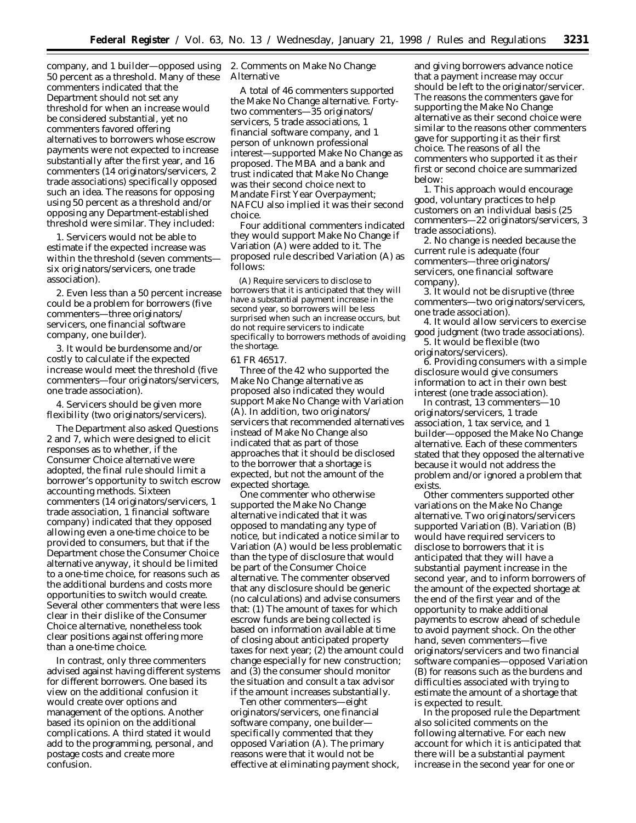company, and 1 builder—opposed using 50 percent as a threshold. Many of these commenters indicated that the Department should not set any threshold for when an increase would be considered substantial, yet no commenters favored offering alternatives to borrowers whose escrow payments were not expected to increase substantially after the first year, and 16 commenters (14 originators/servicers, 2 trade associations) specifically opposed such an idea. The reasons for opposing using 50 percent as a threshold and/or opposing any Department-established threshold were similar. They included:

1. Servicers would not be able to estimate if the expected increase was within the threshold (seven comments six originators/servicers, one trade association).

2. Even less than a 50 percent increase could be a problem for borrowers (five commenters—three originators/ servicers, one financial software company, one builder).

3. It would be burdensome and/or costly to calculate if the expected increase would meet the threshold (five commenters—four originators/servicers, one trade association).

4. Servicers should be given more flexibility (two originators/servicers).

The Department also asked Questions 2 and 7, which were designed to elicit responses as to whether, if the Consumer Choice alternative were adopted, the final rule should limit a borrower's opportunity to switch escrow accounting methods. Sixteen commenters (14 originators/servicers, 1 trade association, 1 financial software company) indicated that they opposed allowing even a one-time choice to be provided to consumers, but that if the Department chose the Consumer Choice alternative anyway, it should be limited to a one-time choice, for reasons such as the additional burdens and costs more opportunities to switch would create. Several other commenters that were less clear in their dislike of the Consumer Choice alternative, nonetheless took clear positions against offering more than a one-time choice.

In contrast, only three commenters advised against having different systems for different borrowers. One based its view on the additional confusion it would create over options and management of the options. Another based its opinion on the additional complications. A third stated it would add to the programming, personal, and postage costs and create more confusion.

2. Comments on Make No Change Alternative

A total of 46 commenters supported the Make No Change alternative. Fortytwo commenters—35 originators/ servicers, 5 trade associations, 1 financial software company, and 1 person of unknown professional interest—supported Make No Change as proposed. The MBA and a bank and trust indicated that Make No Change was their second choice next to Mandate First Year Overpayment; NAFCU also implied it was their second choice.

Four additional commenters indicated they would support Make No Change if Variation (A) were added to it. The proposed rule described Variation (A) as follows:

(A) Require servicers to disclose to borrowers that it is anticipated that they will have a substantial payment increase in the second year, so borrowers will be less surprised when such an increase occurs, but do not require servicers to indicate specifically to borrowers methods of avoiding the shortage.

#### 61 FR 46517.

Three of the 42 who supported the Make No Change alternative as proposed also indicated they would support Make No Change with Variation (A). In addition, two originators/ servicers that recommended alternatives instead of Make No Change also indicated that as part of those approaches that it should be disclosed to the borrower that a shortage is expected, but not the amount of the expected shortage.

One commenter who otherwise supported the Make No Change alternative indicated that it was opposed to mandating any type of notice, but indicated a notice similar to Variation (A) would be less problematic than the type of disclosure that would be part of the Consumer Choice alternative. The commenter observed that any disclosure should be generic (no calculations) and advise consumers that: (1) The amount of taxes for which escrow funds are being collected is based on information available at time of closing about anticipated property taxes for next year; (2) the amount could change especially for new construction; and (3) the consumer should monitor the situation and consult a tax advisor if the amount increases substantially.

Ten other commenters—eight originators/servicers, one financial software company, one builder specifically commented that they opposed Variation (A). The primary reasons were that it would not be effective at eliminating payment shock, and giving borrowers advance notice that a payment increase may occur should be left to the originator/servicer. The reasons the commenters gave for supporting the Make No Change alternative as their second choice were similar to the reasons other commenters gave for supporting it as their first choice. The reasons of all the commenters who supported it as their first or second choice are summarized below:

1. This approach would encourage good, voluntary practices to help customers on an individual basis (25 commenters—22 originators/servicers, 3 trade associations).

2. No change is needed because the current rule is adequate (four commenters—three originators/ servicers, one financial software company).

3. It would not be disruptive (three commenters—two originators/servicers, one trade association).

4. It would allow servicers to exercise good judgment (two trade associations). 5. It would be flexible (two

originators/servicers).

6. Providing consumers with a simple disclosure would give consumers information to act in their own best interest (one trade association).

In contrast, 13 commenters—10 originators/servicers, 1 trade association, 1 tax service, and 1 builder—opposed the Make No Change alternative. Each of these commenters stated that they opposed the alternative because it would not address the problem and/or ignored a problem that exists.

Other commenters supported other variations on the Make No Change alternative. Two originators/servicers supported Variation (B). Variation (B) would have required servicers to disclose to borrowers that it is anticipated that they will have a substantial payment increase in the second year, and to inform borrowers of the amount of the expected shortage at the end of the first year and of the opportunity to make additional payments to escrow ahead of schedule to avoid payment shock. On the other hand, seven commenters—five originators/servicers and two financial software companies—opposed Variation (B) for reasons such as the burdens and difficulties associated with trying to estimate the amount of a shortage that is expected to result.

In the proposed rule the Department also solicited comments on the following alternative. For each new account for which it is anticipated that there will be a substantial payment increase in the second year for one or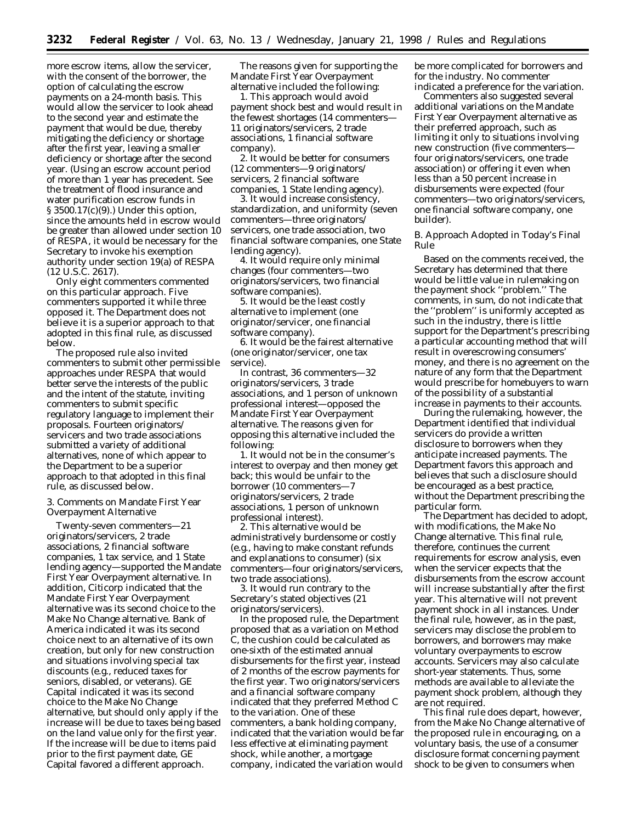more escrow items, allow the servicer, with the consent of the borrower, the option of calculating the escrow payments on a 24-month basis. This would allow the servicer to look ahead to the second year and estimate the payment that would be due, thereby mitigating the deficiency or shortage after the first year, leaving a smaller deficiency or shortage after the second year. (Using an escrow account period of more than 1 year has precedent. See the treatment of flood insurance and water purification escrow funds in § 3500.17(c)(9).) Under this option, since the amounts held in escrow would be greater than allowed under section 10 of RESPA, it would be necessary for the Secretary to invoke his exemption authority under section 19(a) of RESPA (12 U.S.C. 2617).

Only eight commenters commented on this particular approach. Five commenters supported it while three opposed it. The Department does not believe it is a superior approach to that adopted in this final rule, as discussed below.

The proposed rule also invited commenters to submit other permissible approaches under RESPA that would better serve the interests of the public and the intent of the statute, inviting commenters to submit specific regulatory language to implement their proposals. Fourteen originators/ servicers and two trade associations submitted a variety of additional alternatives, none of which appear to the Department to be a superior approach to that adopted in this final rule, as discussed below.

3. Comments on Mandate First Year Overpayment Alternative

Twenty-seven commenters—21 originators/servicers, 2 trade associations, 2 financial software companies, 1 tax service, and 1 State lending agency—supported the Mandate First Year Overpayment alternative. In addition, Citicorp indicated that the Mandate First Year Overpayment alternative was its second choice to the Make No Change alternative. Bank of America indicated it was its second choice next to an alternative of its own creation, but only for new construction and situations involving special tax discounts (e.g., reduced taxes for seniors, disabled, or veterans). GE Capital indicated it was its second choice to the Make No Change alternative, but should only apply if the increase will be due to taxes being based on the land value only for the first year. If the increase will be due to items paid prior to the first payment date, GE Capital favored a different approach.

The reasons given for supporting the Mandate First Year Overpayment alternative included the following:

1. This approach would avoid payment shock best and would result in the fewest shortages (14 commenters— 11 originators/servicers, 2 trade associations, 1 financial software company).

2. It would be better for consumers (12 commenters—9 originators/ servicers, 2 financial software companies, 1 State lending agency).

3. It would increase consistency, standardization, and uniformity (seven commenters—three originators/ servicers, one trade association, two financial software companies, one State lending agency).

4. It would require only minimal changes (four commenters—two originators/servicers, two financial software companies).

5. It would be the least costly alternative to implement (one originator/servicer, one financial software company).

6. It would be the fairest alternative (one originator/servicer, one tax service).

In contrast, 36 commenters—32 originators/servicers, 3 trade associations, and 1 person of unknown professional interest—opposed the Mandate First Year Overpayment alternative. The reasons given for opposing this alternative included the following:

1. It would not be in the consumer's interest to overpay and then money get back; this would be unfair to the borrower (10 commenters—7 originators/servicers, 2 trade associations, 1 person of unknown professional interest).

2. This alternative would be administratively burdensome or costly (e.g., having to make constant refunds and explanations to consumer) (six commenters—four originators/servicers, two trade associations).

3. It would run contrary to the Secretary's stated objectives (21 originators/servicers).

In the proposed rule, the Department proposed that as a variation on Method C, the cushion could be calculated as one-sixth of the estimated annual disbursements for the first year, instead of 2 months of the escrow payments for the first year. Two originators/servicers and a financial software company indicated that they preferred Method C to the variation. One of these commenters, a bank holding company, indicated that the variation would be far less effective at eliminating payment shock, while another, a mortgage company, indicated the variation would

be more complicated for borrowers and for the industry. No commenter indicated a preference for the variation.

Commenters also suggested several additional variations on the Mandate First Year Overpayment alternative as their preferred approach, such as limiting it only to situations involving new construction (five commenters four originators/servicers, one trade association) or offering it even when less than a 50 percent increase in disbursements were expected (four commenters—two originators/servicers, one financial software company, one builder).

### *B. Approach Adopted in Today's Final Rule*

Based on the comments received, the Secretary has determined that there would be little value in rulemaking on the payment shock ''problem.'' The comments, in sum, do not indicate that the ''problem'' is uniformly accepted as such in the industry, there is little support for the Department's prescribing a particular accounting method that will result in overescrowing consumers' money, and there is no agreement on the nature of any form that the Department would prescribe for homebuyers to warn of the possibility of a substantial increase in payments to their accounts.

During the rulemaking, however, the Department identified that individual servicers do provide a written disclosure to borrowers when they anticipate increased payments. The Department favors this approach and believes that such a disclosure should be encouraged as a best practice, without the Department prescribing the particular form.

The Department has decided to adopt, with modifications, the Make No Change alternative. This final rule, therefore, continues the current requirements for escrow analysis, even when the servicer expects that the disbursements from the escrow account will increase substantially after the first year. This alternative will not prevent payment shock in all instances. Under the final rule, however, as in the past, servicers may disclose the problem to borrowers, and borrowers may make voluntary overpayments to escrow accounts. Servicers may also calculate short-year statements. Thus, some methods are available to alleviate the payment shock problem, although they are not required.

This final rule does depart, however, from the Make No Change alternative of the proposed rule in encouraging, on a voluntary basis, the use of a consumer disclosure format concerning payment shock to be given to consumers when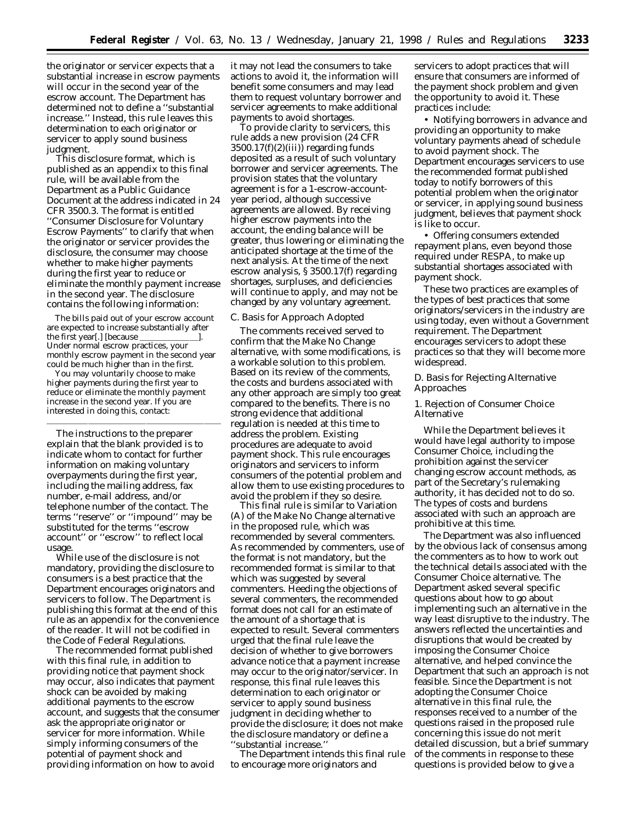the originator or servicer expects that a substantial increase in escrow payments will occur in the second year of the escrow account. The Department has determined not to define a ''substantial increase.'' Instead, this rule leaves this determination to each originator or servicer to apply sound business judgment.

This disclosure format, which is published as an appendix to this final rule, will be available from the Department as a Public Guidance Document at the address indicated in 24 CFR 3500.3. The format is entitled ''Consumer Disclosure for Voluntary Escrow Payments'' to clarify that when the originator or servicer provides the disclosure, the consumer may choose whether to make higher payments during the first year to reduce or eliminate the monthly payment increase in the second year. The disclosure contains the following information:

The bills paid out of your escrow account are expected to increase substantially after the first year[.] [because  $\overline{\phantom{a}}$ Under normal escrow practices, your monthly escrow payment in the second year could be much higher than in the first.

You may voluntarily choose to make higher payments during the first year to reduce or eliminate the monthly payment increase in the second year. If you are interested in doing this, contact:

The instructions to the preparer explain that the blank provided is to indicate whom to contact for further information on making voluntary overpayments during the first year, including the mailing address, fax number, e-mail address, and/or telephone number of the contact. The terms ''reserve'' or ''impound'' may be substituted for the terms ''escrow account'' or ''escrow'' to reflect local usage.

While use of the disclosure is not mandatory, providing the disclosure to consumers is a best practice that the Department encourages originators and servicers to follow. The Department is publishing this format at the end of this rule as an appendix for the convenience of the reader. It will not be codified in the Code of Federal Regulations.

The recommended format published with this final rule, in addition to providing notice that payment shock may occur, also indicates that payment shock can be avoided by making additional payments to the escrow account, and suggests that the consumer ask the appropriate originator or servicer for more information. While simply informing consumers of the potential of payment shock and providing information on how to avoid

it may not lead the consumers to take actions to avoid it, the information will benefit some consumers and may lead them to request voluntary borrower and servicer agreements to make additional payments to avoid shortages.

To provide clarity to servicers, this rule adds a new provision (24 CFR  $3500.17(f)(2)(iii)$ ) regarding funds deposited as a result of such voluntary borrower and servicer agreements. The provision states that the voluntary agreement is for a 1-escrow-accountyear period, although successive agreements are allowed. By receiving higher escrow payments into the account, the ending balance will be greater, thus lowering or eliminating the anticipated shortage at the time of the next analysis. At the time of the next escrow analysis, § 3500.17(f) regarding shortages, surpluses, and deficiencies will continue to apply, and may not be changed by any voluntary agreement.

### *C. Basis for Approach Adopted*

The comments received served to confirm that the Make No Change alternative, with some modifications, is a workable solution to this problem. Based on its review of the comments, the costs and burdens associated with any other approach are simply too great compared to the benefits. There is no strong evidence that additional regulation is needed at this time to address the problem. Existing procedures are adequate to avoid payment shock. This rule encourages originators and servicers to inform consumers of the potential problem and allow them to use existing procedures to avoid the problem if they so desire.

This final rule is similar to Variation (A) of the Make No Change alternative in the proposed rule, which was recommended by several commenters. As recommended by commenters, use of the format is not mandatory, but the recommended format is similar to that which was suggested by several commenters. Heeding the objections of several commenters, the recommended format does not call for an estimate of the amount of a shortage that is expected to result. Several commenters urged that the final rule leave the decision of whether to give borrowers advance notice that a payment increase may occur to the originator/servicer. In response, this final rule leaves this determination to each originator or servicer to apply sound business judgment in deciding whether to provide the disclosure; it does not make the disclosure mandatory or define a ''substantial increase.''

The Department intends this final rule to encourage more originators and

servicers to adopt practices that will ensure that consumers are informed of the payment shock problem and given the opportunity to avoid it. These practices include:

• Notifying borrowers in advance and providing an opportunity to make voluntary payments ahead of schedule to avoid payment shock. The Department encourages servicers to use the recommended format published today to notify borrowers of this potential problem when the originator or servicer, in applying sound business judgment, believes that payment shock is like to occur.

• Offering consumers extended repayment plans, even beyond those required under RESPA, to make up substantial shortages associated with payment shock.

These two practices are examples of the types of best practices that some originators/servicers in the industry are using today, even without a Government requirement. The Department encourages servicers to adopt these practices so that they will become more widespread.

## *D. Basis for Rejecting Alternative Approaches*

## 1. Rejection of Consumer Choice Alternative

While the Department believes it would have legal authority to impose Consumer Choice, including the prohibition against the servicer changing escrow account methods, as part of the Secretary's rulemaking authority, it has decided not to do so. The types of costs and burdens associated with such an approach are prohibitive at this time.

The Department was also influenced by the obvious lack of consensus among the commenters as to how to work out the technical details associated with the Consumer Choice alternative. The Department asked several specific questions about how to go about implementing such an alternative in the way least disruptive to the industry. The answers reflected the uncertainties and disruptions that would be created by imposing the Consumer Choice alternative, and helped convince the Department that such an approach is not feasible. Since the Department is not adopting the Consumer Choice alternative in this final rule, the responses received to a number of the questions raised in the proposed rule concerning this issue do not merit detailed discussion, but a brief summary of the comments in response to these questions is provided below to give a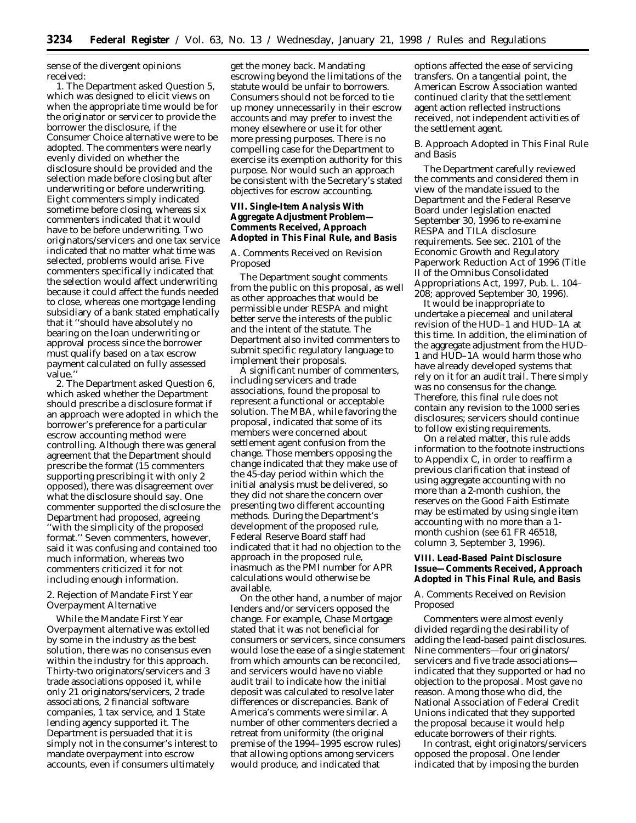sense of the divergent opinions received:

1. The Department asked Question 5, which was designed to elicit views on when the appropriate time would be for the originator or servicer to provide the borrower the disclosure, if the Consumer Choice alternative were to be adopted. The commenters were nearly evenly divided on whether the disclosure should be provided and the selection made before closing but after underwriting or before underwriting. Eight commenters simply indicated sometime before closing, whereas six commenters indicated that it would have to be before underwriting. Two originators/servicers and one tax service indicated that no matter what time was selected, problems would arise. Five commenters specifically indicated that the selection would affect underwriting because it could affect the funds needed to close, whereas one mortgage lending subsidiary of a bank stated emphatically that it ''should have absolutely no bearing on the loan underwriting or approval process since the borrower must qualify based on a tax escrow payment calculated on fully assessed value.''

2. The Department asked Question 6, which asked whether the Department should prescribe a disclosure format if an approach were adopted in which the borrower's preference for a particular escrow accounting method were controlling. Although there was general agreement that the Department should prescribe the format (15 commenters supporting prescribing it with only 2 opposed), there was disagreement over what the disclosure should say. One commenter supported the disclosure the Department had proposed, agreeing ''with the simplicity of the proposed format.'' Seven commenters, however, said it was confusing and contained too much information, whereas two commenters criticized it for not including enough information.

2. Rejection of Mandate First Year Overpayment Alternative

While the Mandate First Year Overpayment alternative was extolled by some in the industry as the best solution, there was no consensus even within the industry for this approach. Thirty-two originators/servicers and 3 trade associations opposed it, while only 21 originators/servicers, 2 trade associations, 2 financial software companies, 1 tax service, and 1 State lending agency supported it. The Department is persuaded that it is simply not in the consumer's interest to mandate overpayment into escrow accounts, even if consumers ultimately

get the money back. Mandating escrowing beyond the limitations of the statute would be unfair to borrowers. Consumers should not be forced to tie up money unnecessarily in their escrow accounts and may prefer to invest the money elsewhere or use it for other more pressing purposes. There is no compelling case for the Department to exercise its exemption authority for this purpose. Nor would such an approach be consistent with the Secretary's stated objectives for escrow accounting.

# **VII. Single-Item Analysis With Aggregate Adjustment Problem— Comments Received, Approach Adopted in This Final Rule, and Basis**

# *A. Comments Received on Revision Proposed*

The Department sought comments from the public on this proposal, as well as other approaches that would be permissible under RESPA and might better serve the interests of the public and the intent of the statute. The Department also invited commenters to submit specific regulatory language to implement their proposals.

A significant number of commenters, including servicers and trade associations, found the proposal to represent a functional or acceptable solution. The MBA, while favoring the proposal, indicated that some of its members were concerned about settlement agent confusion from the change. Those members opposing the change indicated that they make use of the 45-day period within which the initial analysis must be delivered, so they did not share the concern over presenting two different accounting methods. During the Department's development of the proposed rule, Federal Reserve Board staff had indicated that it had no objection to the approach in the proposed rule, inasmuch as the PMI number for APR calculations would otherwise be available.

On the other hand, a number of major lenders and/or servicers opposed the change. For example, Chase Mortgage stated that it was not beneficial for consumers or servicers, since consumers would lose the ease of a single statement from which amounts can be reconciled, and servicers would have no viable audit trail to indicate how the initial deposit was calculated to resolve later differences or discrepancies. Bank of America's comments were similar. A number of other commenters decried a retreat from uniformity (the original premise of the 1994–1995 escrow rules) that allowing options among servicers would produce, and indicated that

options affected the ease of servicing transfers. On a tangential point, the American Escrow Association wanted continued clarity that the settlement agent action reflected instructions received, not independent activities of the settlement agent.

# *B. Approach Adopted in This Final Rule and Basis*

The Department carefully reviewed the comments and considered them in view of the mandate issued to the Department and the Federal Reserve Board under legislation enacted September 30, 1996 to re-examine RESPA and TILA disclosure requirements. See sec. 2101 of the Economic Growth and Regulatory Paperwork Reduction Act of 1996 (Title II of the Omnibus Consolidated Appropriations Act, 1997, Pub. L. 104– 208; approved September 30, 1996).

It would be inappropriate to undertake a piecemeal and unilateral revision of the HUD–1 and HUD–1A at this time. In addition, the elimination of the aggregate adjustment from the HUD– 1 and HUD–1A would harm those who have already developed systems that rely on it for an audit trail. There simply was no consensus for the change. Therefore, this final rule does not contain any revision to the 1000 series disclosures; servicers should continue to follow existing requirements.

On a related matter, this rule adds information to the footnote instructions to Appendix C, in order to reaffirm a previous clarification that instead of using aggregate accounting with no more than a 2-month cushion, the reserves on the Good Faith Estimate may be estimated by using single item accounting with no more than a 1 month cushion (see 61 FR 46518, column 3, September 3, 1996).

# **VIII. Lead-Based Paint Disclosure Issue—Comments Received, Approach Adopted in This Final Rule, and Basis**

# *A. Comments Received on Revision Proposed*

Commenters were almost evenly divided regarding the desirability of adding the lead-based paint disclosures. Nine commenters—four originators/ servicers and five trade associations indicated that they supported or had no objection to the proposal. Most gave no reason. Among those who did, the National Association of Federal Credit Unions indicated that they supported the proposal because it would help educate borrowers of their rights.

In contrast, eight originators/servicers opposed the proposal. One lender indicated that by imposing the burden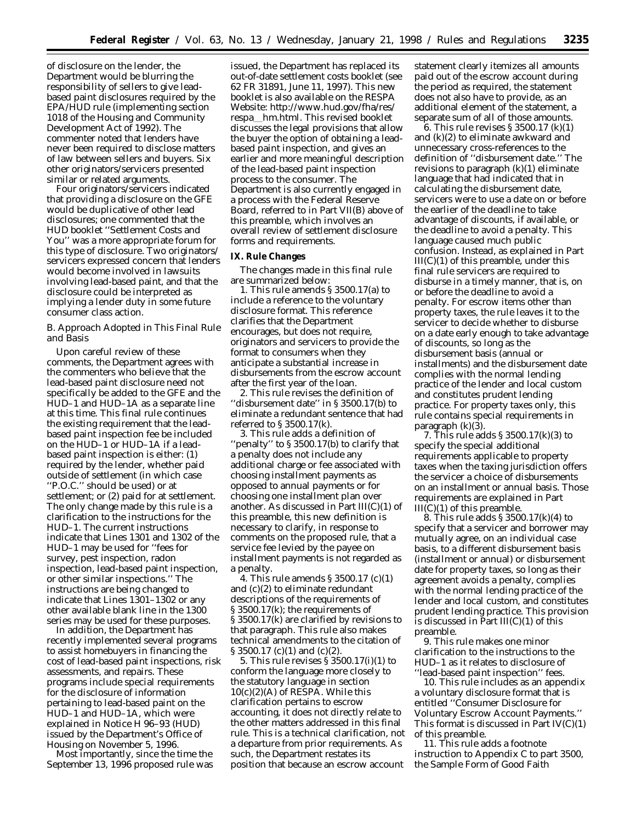of disclosure on the lender, the Department would be blurring the responsibility of sellers to give leadbased paint disclosures required by the EPA/HUD rule (implementing section 1018 of the Housing and Community Development Act of 1992). The commenter noted that lenders have never been required to disclose matters of law between sellers and buyers. Six other originators/servicers presented similar or related arguments.

Four originators/servicers indicated that providing a disclosure on the GFE would be duplicative of other lead disclosures; one commented that the HUD booklet ''Settlement Costs and You'' was a more appropriate forum for this type of disclosure. Two originators/ servicers expressed concern that lenders would become involved in lawsuits involving lead-based paint, and that the disclosure could be interpreted as implying a lender duty in some future consumer class action.

### *B. Approach Adopted in This Final Rule and Basis*

Upon careful review of these comments, the Department agrees with the commenters who believe that the lead-based paint disclosure need not specifically be added to the GFE and the HUD–1 and HUD–1A as a separate line at this time. This final rule continues the existing requirement that the leadbased paint inspection fee be included on the HUD–1 or HUD–1A if a leadbased paint inspection is either: (1) required by the lender, whether paid outside of settlement (in which case ''P.O.C.'' should be used) or at settlement; or (2) paid for at settlement. The only change made by this rule is a clarification to the instructions for the HUD–1. The current instructions indicate that Lines 1301 and 1302 of the HUD–1 may be used for ''fees for survey, pest inspection, radon inspection, lead-based paint inspection, or other similar inspections.'' The instructions are being changed to indicate that Lines 1301–1302 or any other available blank line in the 1300 series may be used for these purposes.

In addition, the Department has recently implemented several programs to assist homebuyers in financing the cost of lead-based paint inspections, risk assessments, and repairs. These programs include special requirements for the disclosure of information pertaining to lead-based paint on the HUD–1 and HUD–1A, which were explained in Notice H 96–93 (HUD) issued by the Department's Office of Housing on November 5, 1996.

Most importantly, since the time the September 13, 1996 proposed rule was issued, the Department has replaced its out-of-date settlement costs booklet (see 62 FR 31891, June 11, 1997). This new booklet is also available on the RESPA Website: http://www.hud.gov/fha/res/ respa hm.html. This revised booklet discusses the legal provisions that allow the buyer the option of obtaining a leadbased paint inspection, and gives an earlier and more meaningful description of the lead-based paint inspection process to the consumer. The Department is also currently engaged in a process with the Federal Reserve Board, referred to in Part VII(B) above of this preamble, which involves an overall review of settlement disclosure forms and requirements.

### **IX. Rule Changes**

The changes made in this final rule are summarized below:

1. This rule amends § 3500.17(a) to include a reference to the voluntary disclosure format. This reference clarifies that the Department encourages, but does not require, originators and servicers to provide the format to consumers when they anticipate a substantial increase in disbursements from the escrow account after the first year of the loan.

2. This rule revises the definition of ''disbursement date'' in § 3500.17(b) to eliminate a redundant sentence that had referred to § 3500.17(k).

3. This rule adds a definition of 'penalty'' to § 3500.17(b) to clarify that a penalty does not include any additional charge or fee associated with choosing installment payments as opposed to annual payments or for choosing one installment plan over another. As discussed in Part  $III(C)(1)$  of this preamble, this new definition is necessary to clarify, in response to comments on the proposed rule, that a service fee levied by the payee on installment payments is not regarded as a penalty.

4. This rule amends § 3500.17 (c)(1) and (c)(2) to eliminate redundant descriptions of the requirements of § 3500.17(k); the requirements of § 3500.17(k) are clarified by revisions to that paragraph. This rule also makes technical amendments to the citation of § 3500.17 (c)(1) and (c)(2).

5. This rule revises § 3500.17(i)(1) to conform the language more closely to the statutory language in section 10(c)(2)(A) of RESPA. While this clarification pertains to escrow accounting, it does not directly relate to the other matters addressed in this final rule. This is a technical clarification, not a departure from prior requirements. As such, the Department restates its position that because an escrow account

statement clearly itemizes all amounts paid out of the escrow account during the period as required, the statement does not also have to provide, as an additional element of the statement, a separate sum of all of those amounts.

6. This rule revises § 3500.17 (k)(1) and (k)(2) to eliminate awkward and unnecessary cross-references to the definition of ''disbursement date.'' The revisions to paragraph  $(k)(1)$  eliminate language that had indicated that in calculating the disbursement date, servicers were to use a date on or before the earlier of the deadline to take advantage of discounts, if available, or the deadline to avoid a penalty. This language caused much public confusion. Instead, as explained in Part  $III(C)(1)$  of this preamble, under this final rule servicers are required to disburse in a timely manner, that is, on or before the deadline to avoid a penalty. For escrow items other than property taxes, the rule leaves it to the servicer to decide whether to disburse on a date early enough to take advantage of discounts, so long as the disbursement basis (annual or installments) and the disbursement date complies with the normal lending practice of the lender and local custom and constitutes prudent lending practice. For property taxes only, this rule contains special requirements in paragraph (k)(3).

7. This rule adds § 3500.17(k)(3) to specify the special additional requirements applicable to property taxes when the taxing jurisdiction offers the servicer a choice of disbursements on an installment or annual basis. Those requirements are explained in Part  $III(C)(1)$  of this preamble.

8. This rule adds § 3500.17(k)(4) to specify that a servicer and borrower may mutually agree, on an individual case basis, to a different disbursement basis (installment or annual) or disbursement date for property taxes, so long as their agreement avoids a penalty, complies with the normal lending practice of the lender and local custom, and constitutes prudent lending practice. This provision is discussed in Part  $III(C)(1)$  of this preamble.

9. This rule makes one minor clarification to the instructions to the HUD–1 as it relates to disclosure of ''lead-based paint inspection'' fees.

10. This rule includes as an appendix a voluntary disclosure format that is entitled ''Consumer Disclosure for Voluntary Escrow Account Payments.'' This format is discussed in Part  $IV(C)(1)$ of this preamble.

11. This rule adds a footnote instruction to Appendix C to part 3500, the Sample Form of Good Faith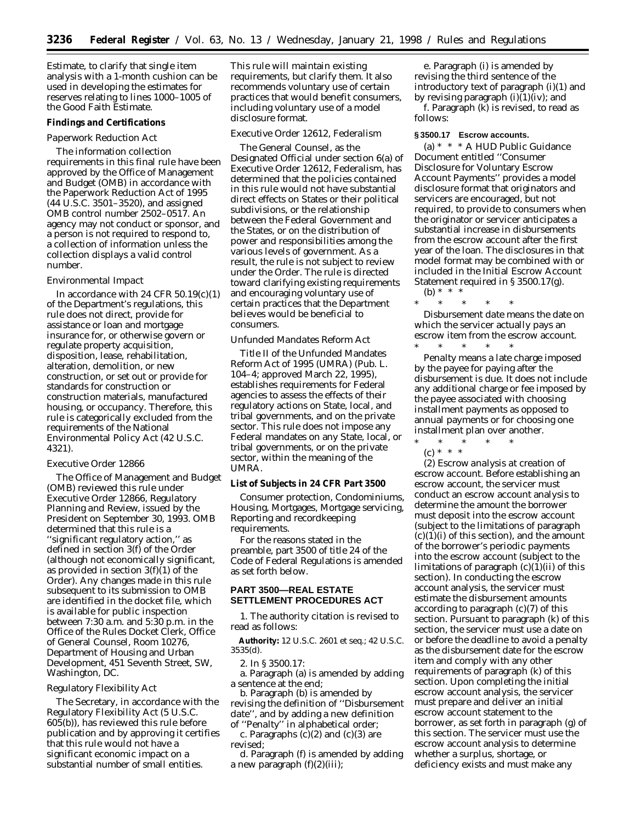Estimate, to clarify that single item analysis with a 1-month cushion can be used in developing the estimates for reserves relating to lines 1000–1005 of the Good Faith Estimate.

### **Findings and Certifications**

#### *Paperwork Reduction Act*

The information collection requirements in this final rule have been approved by the Office of Management and Budget (OMB) in accordance with the Paperwork Reduction Act of 1995 (44 U.S.C. 3501–3520), and assigned OMB control number 2502–0517. An agency may not conduct or sponsor, and a person is not required to respond to, a collection of information unless the collection displays a valid control number.

### *Environmental Impact*

In accordance with 24 CFR 50.19(c)(1) of the Department's regulations, this rule does not direct, provide for assistance or loan and mortgage insurance for, or otherwise govern or regulate property acquisition, disposition, lease, rehabilitation, alteration, demolition, or new construction, or set out or provide for standards for construction or construction materials, manufactured housing, or occupancy. Therefore, this rule is categorically excluded from the requirements of the National Environmental Policy Act (42 U.S.C. 4321).

#### *Executive Order 12866*

The Office of Management and Budget (OMB) reviewed this rule under Executive Order 12866, *Regulatory Planning and Review,* issued by the President on September 30, 1993. OMB determined that this rule is a ''significant regulatory action,'' as defined in section 3(f) of the Order (although not economically significant, as provided in section  $3(f)(1)$  of the Order). Any changes made in this rule subsequent to its submission to OMB are identified in the docket file, which is available for public inspection between 7:30 a.m. and 5:30 p.m. in the Office of the Rules Docket Clerk, Office of General Counsel, Room 10276, Department of Housing and Urban Development, 451 Seventh Street, SW, Washington, DC.

#### *Regulatory Flexibility Act*

The Secretary, in accordance with the Regulatory Flexibility Act (5 U.S.C. 605(b)), has reviewed this rule before publication and by approving it certifies that this rule would not have a significant economic impact on a substantial number of small entities.

This rule will maintain existing requirements, but clarify them. It also recommends voluntary use of certain practices that would benefit consumers, including voluntary use of a model disclosure format.

#### *Executive Order 12612, Federalism*

The General Counsel, as the Designated Official under section 6(a) of Executive Order 12612, *Federalism,* has determined that the policies contained in this rule would not have substantial direct effects on States or their political subdivisions, or the relationship between the Federal Government and the States, or on the distribution of power and responsibilities among the various levels of government. As a result, the rule is not subject to review under the Order. The rule is directed toward clarifying existing requirements and encouraging voluntary use of certain practices that the Department believes would be beneficial to consumers.

#### *Unfunded Mandates Reform Act*

Title II of the Unfunded Mandates Reform Act of 1995 (UMRA) (Pub. L. 104–4; approved March 22, 1995), establishes requirements for Federal agencies to assess the effects of their regulatory actions on State, local, and tribal governments, and on the private sector. This rule does not impose any Federal mandates on any State, local, or tribal governments, or on the private sector, within the meaning of the UMRA.

### **List of Subjects in 24 CFR Part 3500**

Consumer protection, Condominiums, Housing, Mortgages, Mortgage servicing, Reporting and recordkeeping requirements.

For the reasons stated in the preamble, part 3500 of title 24 of the Code of Federal Regulations is amended as set forth below.

# **PART 3500—REAL ESTATE SETTLEMENT PROCEDURES ACT**

1. The authority citation is revised to read as follows:

**Authority:** 12 U.S.C. 2601 *et seq.*; 42 U.S.C. 3535(d).

2. In § 3500.17:

a. Paragraph (a) is amended by adding a sentence at the end;

b. Paragraph (b) is amended by revising the definition of ''*Disbursement date*'', and by adding a new definition

of ''*Penalty*'' in alphabetical order; c. Paragraphs  $(c)(2)$  and  $(c)(3)$  are revised;

d. Paragraph (f) is amended by adding a new paragraph (f)(2)(iii);

e. Paragraph (i) is amended by revising the third sentence of the introductory text of paragraph (i)(1) and by revising paragraph  $(i)(1)(iv)$ ; and

f. Paragraph  $(k)$  is revised, to read as follows:

#### **§ 3500.17 Escrow accounts.**

(a) \* \* \* A HUD Public Guidance Document entitled ''Consumer Disclosure for Voluntary Escrow Account Payments'' provides a model disclosure format that originators and servicers are encouraged, but not required, to provide to consumers when the originator or servicer anticipates a substantial increase in disbursements from the escrow account after the first year of the loan. The disclosures in that model format may be combined with or included in the Initial Escrow Account Statement required in § 3500.17(g). (b)  $* * * *$ 

\* \* \* \* \* *Disbursement date* means the date on which the servicer actually pays an

escrow item from the escrow account. \* \* \* \* \* *Penalty* means a late charge imposed by the payee for paying after the disbursement is due. It does not include any additional charge or fee imposed by the payee associated with choosing installment payments as opposed to annual payments or for choosing one

installment plan over another.

\* \* \* \* \* (c) \* \* \*

(2) *Escrow analysis at creation of escrow account.* Before establishing an escrow account, the servicer must conduct an escrow account analysis to determine the amount the borrower must deposit into the escrow account (subject to the limitations of paragraph  $(c)(1)(i)$  of this section), and the amount of the borrower's periodic payments into the escrow account (subject to the limitations of paragraph  $(c)(1)(ii)$  of this section). In conducting the escrow account analysis, the servicer must estimate the disbursement amounts according to paragraph (c)(7) of this section. Pursuant to paragraph (k) of this section, the servicer must use a date on or before the deadline to avoid a penalty as the disbursement date for the escrow item and comply with any other requirements of paragraph (k) of this section. Upon completing the initial escrow account analysis, the servicer must prepare and deliver an initial escrow account statement to the borrower, as set forth in paragraph (g) of this section. The servicer must use the escrow account analysis to determine whether a surplus, shortage, or deficiency exists and must make any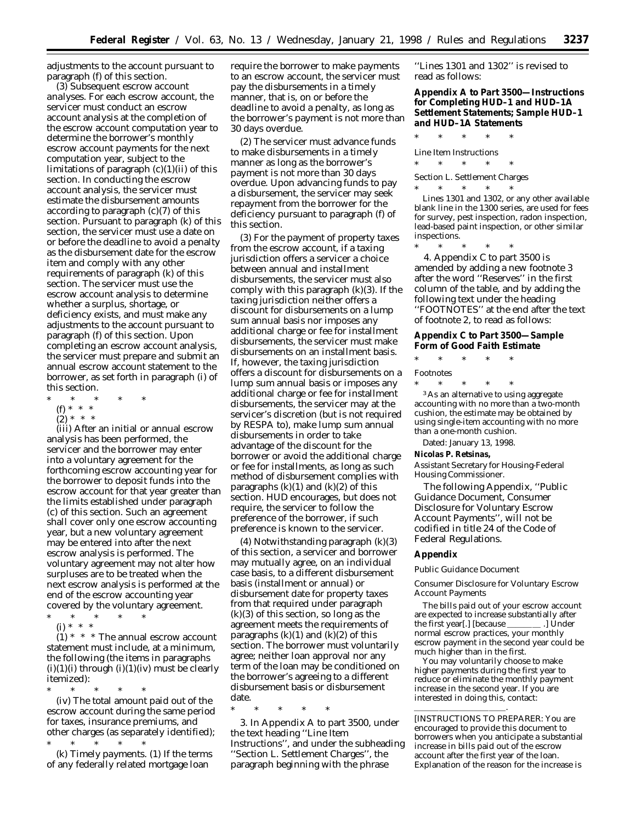adjustments to the account pursuant to paragraph (f) of this section.

(3) *Subsequent escrow account analyses.* For each escrow account, the servicer must conduct an escrow account analysis at the completion of the escrow account computation year to determine the borrower's monthly escrow account payments for the next computation year, subject to the limitations of paragraph  $(c)(1)(ii)$  of this section. In conducting the escrow account analysis, the servicer must estimate the disbursement amounts according to paragraph (c)(7) of this section. Pursuant to paragraph (k) of this section, the servicer must use a date on or before the deadline to avoid a penalty as the disbursement date for the escrow item and comply with any other requirements of paragraph (k) of this section. The servicer must use the escrow account analysis to determine whether a surplus, shortage, or deficiency exists, and must make any adjustments to the account pursuant to paragraph (f) of this section. Upon completing an escrow account analysis, the servicer must prepare and submit an annual escrow account statement to the borrower, as set forth in paragraph (i) of this section.

- \* \* \* \* \*
- (f) \* \* \*
- $(2) * * * *$

(iii) After an initial or annual escrow analysis has been performed, the servicer and the borrower may enter into a voluntary agreement for the forthcoming escrow accounting year for the borrower to deposit funds into the escrow account for that year greater than the limits established under paragraph (c) of this section. Such an agreement shall cover only one escrow accounting year, but a new voluntary agreement may be entered into after the next escrow analysis is performed. The voluntary agreement may not alter how surpluses are to be treated when the next escrow analysis is performed at the end of the escrow accounting year % covered by the voluntary agreement.  $\ast$   $\qquad \ast$   $\qquad \ast$ 

- \* \* \* \* \*
- (i) \* \* \*

 $(1)$  \* \* \* The annual escrow account statement must include, at a minimum, the following (the items in paragraphs  $(i)(1)(i)$  through  $(i)(1)(iv)$  must be clearly itemized):

\* \* \* \* \* (iv) The total amount paid out of the escrow account during the same period for taxes, insurance premiums, and other charges (as separately identified);

\* \* \* \* \* (k) *Timely payments.* (1) If the terms of any federally related mortgage loan

require the borrower to make payments to an escrow account, the servicer must pay the disbursements in a timely manner, that is, on or before the deadline to avoid a penalty, as long as the borrower's payment is not more than 30 days overdue.

(2) The servicer must advance funds to make disbursements in a timely manner as long as the borrower's payment is not more than 30 days overdue. Upon advancing funds to pay a disbursement, the servicer may seek repayment from the borrower for the deficiency pursuant to paragraph (f) of this section.

(3) For the payment of property taxes from the escrow account, if a taxing jurisdiction offers a servicer a choice between annual and installment disbursements, the servicer must also comply with this paragraph (k)(3). If the taxing jurisdiction neither offers a discount for disbursements on a lump sum annual basis nor imposes any additional charge or fee for installment disbursements, the servicer must make disbursements on an installment basis. If, however, the taxing jurisdiction offers a discount for disbursements on a lump sum annual basis or imposes any additional charge or fee for installment disbursements, the servicer may at the servicer's discretion (but is not required by RESPA to), make lump sum annual disbursements in order to take advantage of the discount for the borrower or avoid the additional charge or fee for installments, as long as such method of disbursement complies with paragraphs  $(k)(1)$  and  $(k)(2)$  of this section. HUD encourages, but does not require, the servicer to follow the preference of the borrower, if such preference is known to the servicer.

(4) Notwithstanding paragraph (k)(3) of this section, a servicer and borrower may mutually agree, on an individual case basis, to a different disbursement basis (installment or annual) or disbursement date for property taxes from that required under paragraph  $(k)(3)$  of this section, so long as the agreement meets the requirements of paragraphs  $(k)(1)$  and  $(k)(2)$  of this section. The borrower must voluntarily agree; neither loan approval nor any term of the loan may be conditioned on the borrower's agreeing to a different disbursement basis or disbursement date.

\* \* \* \* \*

3. In Appendix A to part 3500, under the text heading ''Line Item Instructions'', and under the subheading ''Section L. Settlement Charges'', the paragraph beginning with the phrase

''Lines 1301 and 1302'' is revised to read as follows:

# **Appendix A to Part 3500—Instructions for Completing HUD–1 and HUD–1A Settlement Statements; Sample HUD–1 and HUD–1A Statements**

\* \* \* \* \* *Line Item Instructions*

\* \* \* \* \*

Section L. Settlement Charges<br>  $*$   $\qquad *$   $\qquad *$   $\qquad *$ 

\* \* \* \* \* Lines 1301 and 1302, or any other available blank line in the 1300 series, are used for fees for survey, pest inspection, radon inspection, lead-based paint inspection, or other similar inspections.

\* \* \* \* \* 4. Appendix C to part 3500 is amended by adding a new footnote 3 after the word ''Reserves'' in the first column of the table, and by adding the following text under the heading ''FOOTNOTES'' at the end after the text of footnote 2, to read as follows:

#### **Appendix C to Part 3500—Sample Form of Good Faith Estimate**

\* \* \* \* \*

Footnotes

\* \* \* \* \* 3As an alternative to using aggregate accounting with no more than a two-month cushion, the estimate may be obtained by using single-item accounting with no more than a one-month cushion.

Dated: January 13, 1998.

#### **Nicolas P. Retsinas,**

*Assistant Secretary for Housing-Federal Housing Commissioner.*

The following Appendix, ''Public Guidance Document, Consumer Disclosure for Voluntary Escrow Account Payments'', will not be codified in title 24 of the Code of Federal Regulations.

### **Appendix**

Public Guidance Document

Consumer Disclosure for Voluntary Escrow Account Payments

The bills paid out of your escrow account are expected to increase substantially after the first year[.] [because \_\_\_\_\_\_\_\_\_\_\_.] Under normal escrow practices, your monthly escrow payment in the second year could be much higher than in the first.

You may voluntarily choose to make higher payments during the first year to reduce or eliminate the monthly payment increase in the second year. If you are interested in doing this, contact: lllllllllll.

<sup>[</sup>INSTRUCTIONS TO PREPARER: You are encouraged to provide this document to borrowers when you anticipate a substantial increase in bills paid out of the escrow account after the first year of the loan. Explanation of the reason for the increase is